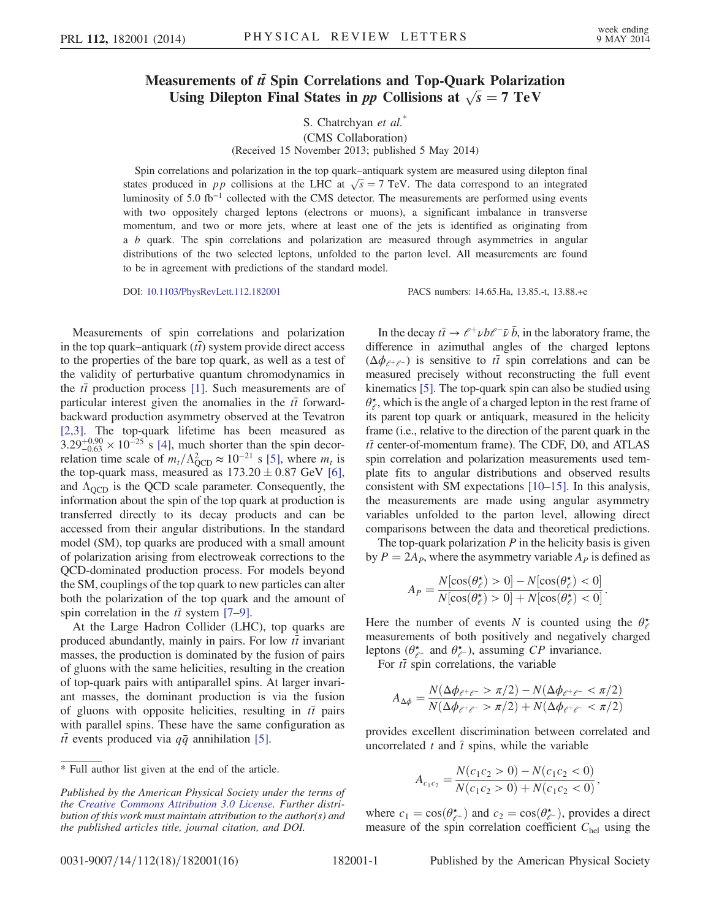## Measurements of  $t\bar{t}$  Spin Correlations and Top-Quark Polarization Using Dilepton Final States in *pp* Collisions at  $\sqrt{s} = 7 \text{ TeV}$

## S. Chatrchyan et al.<sup>\*</sup> (CMS Collaboration) (Received 15 November 2013; published 5 May 2014)

Spin correlations and polarization in the top quark–antiquark system are measured using dilepton final states produced in pp collisions at the LHC at  $\sqrt{s} = 7$  TeV. The data correspond to an integrated luminosity of 5.0 fb<sup>-1</sup> collected with the CMS detector. The measurements are performed using events with two oppositely charged leptons (electrons or muons), a significant imbalance in transverse momentum, and two or more jets, where at least one of the jets is identified as originating from a b quark. The spin correlations and polarization are measured through asymmetries in angular distributions of the two selected leptons, unfolded to the parton level. All measurements are found to be in agreement with predictions of the standard model.

DOI: 10.1103/PhysRevLett.112.182001 PACS numbers: 14.65.Ha, 13.85.-t, 13.88.+e

Measurements of spin correlations and polarization in the top quark–antiquark  $(t\bar{t})$  system provide direct access to the properties of the bare top quark, as well as a test of the validity of perturbative quantum chromodynamics in the  $t\bar{t}$  production process [1]. Such measurements are of particular interest given the anomalies in the  $t\bar{t}$  forwardbackward production asymmetry observed at the Tevatron [2,3]. The top-quark lifetime has been measured as  $3.29^{+0.90}_{-0.63} \times 10^{-25}$  s [4], much shorter than the spin decorrelation time scale of  $m_t/\Lambda_{\text{QCD}}^2 \approx 10^{-21}$  s [5], where  $m_t$  is the top-quark mass, measured as  $173.20 \pm 0.87$  GeV [6], and  $\Lambda_{\text{OCD}}$  is the QCD scale parameter. Consequently, the information about the spin of the top quark at production is transferred directly to its decay products and can be accessed from their angular distributions. In the standard model (SM), top quarks are produced with a small amount of polarization arising from electroweak corrections to the QCD-dominated production process. For models beyond the SM, couplings of the top quark to new particles can alter both the polarization of the top quark and the amount of spin correlation in the  $t\bar{t}$  system [7–9].

At the Large Hadron Collider (LHC), top quarks are produced abundantly, mainly in pairs. For low  $t\bar{t}$  invariant masses, the production is dominated by the fusion of pairs of gluons with the same helicities, resulting in the creation of top-quark pairs with antiparallel spins. At larger invariant masses, the dominant production is via the fusion of gluons with opposite helicities, resulting in  $t\bar{t}$  pairs with parallel spins. These have the same configuration as  $t\bar{t}$  events produced via  $q\bar{q}$  annihilation [5].

In the decay  $t\bar{t} \rightarrow \ell^+ \nu b \ell^- \bar{\nu} \bar{b}$ , in the laboratory frame, the difference in azimuthal angles of the charged leptons  $(\Delta \phi_{e^+e^-})$  is sensitive to  $t\bar{t}$  spin correlations and can be measured precisely without reconstructing the full event kinematics [5]. The top-quark spin can also be studied using  $\theta_{\ell}^{\star}$ , which is the angle of a charged lepton in the rest frame of its parent top quark or antiquark, measured in the helicity frame (i.e., relative to the direction of the parent quark in the  $t\bar{t}$  center-of-momentum frame). The CDF, D0, and ATLAS spin correlation and polarization measurements used template fits to angular distributions and observed results consistent with SM expectations [10–15]. In this analysis, the measurements are made using angular asymmetry variables unfolded to the parton level, allowing direct comparisons between the data and theoretical predictions.

The top-quark polarization  $P$  in the helicity basis is given by  $P = 2A_P$ , where the asymmetry variable  $A_P$  is defined as

$$
A_P = \frac{N[\cos(\theta_{\ell}^{\star}) > 0] - N[\cos(\theta_{\ell}^{\star}) < 0]}{N[\cos(\theta_{\ell}^{\star}) > 0] + N[\cos(\theta_{\ell}^{\star}) < 0]}
$$

.

Here the number of events N is counted using the  $\theta_{\ell}^*$ measurements of both positively and negatively charged leptons ( $\theta_{\ell^+}^{\star}$  and  $\theta_{\ell^-}^{\star}$ ), assuming CP invariance.

For  $t\bar{t}$  spin correlations, the variable

$$
A_{\Delta\phi} = \frac{N(\Delta\phi_{e^+e^-} > \pi/2) - N(\Delta\phi_{e^+e^-} < \pi/2)}{N(\Delta\phi_{e^+e^-} > \pi/2) + N(\Delta\phi_{e^+e^-} < \pi/2)}
$$

provides excellent discrimination between correlated and uncorrelated  $t$  and  $\bar{t}$  spins, while the variable

$$
A_{c_1c_2} = \frac{N(c_1c_2 > 0) - N(c_1c_2 < 0)}{N(c_1c_2 > 0) + N(c_1c_2 < 0)},
$$

where  $c_1 = \cos(\theta_{e^+}^*)$  and  $c_2 = \cos(\theta_{e^-}^*)$ , provides a direct measure of the spin correlation coefficient  $C_{hel}$  using the

0031-9007/14/112(18)/182001(16) 182001-1 Published by the American Physical Society

<sup>\*</sup> Full author list given at the end of the article.

Published by the American Physical Society under the terms of the Creative Commons Attribution 3.0 License. Further distribution of this work must maintain attribution to the author(s) and the published articles title, journal citation, and DOI.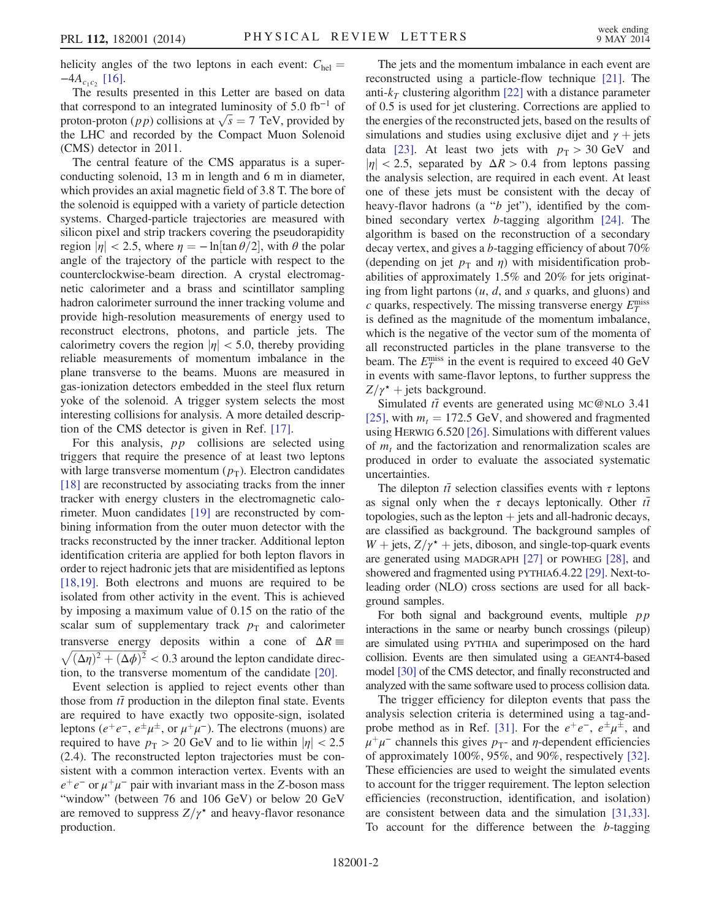helicity angles of the two leptons in each event:  $C_{hel} =$  $-4A_{c_1c_2}$  [16].

The results presented in this Letter are based on data that correspond to an integrated luminosity of 5.0 fb<sup>-1</sup> of proton-proton (*pp*) collisions at  $\sqrt{s} = 7$  TeV, provided by the LHC and recorded by the Compact Muon Solenoid (CMS) detector in 2011.

The central feature of the CMS apparatus is a superconducting solenoid, 13 m in length and 6 m in diameter, which provides an axial magnetic field of 3.8 T. The bore of the solenoid is equipped with a variety of particle detection systems. Charged-particle trajectories are measured with silicon pixel and strip trackers covering the pseudorapidity region  $|\eta| < 2.5$ , where  $\eta = -\ln[\tan \theta/2]$ , with  $\theta$  the polar angle of the trajectory of the particle with respect to the counterclockwise-beam direction. A crystal electromagnetic calorimeter and a brass and scintillator sampling hadron calorimeter surround the inner tracking volume and provide high-resolution measurements of energy used to reconstruct electrons, photons, and particle jets. The calorimetry covers the region  $|\eta| < 5.0$ , thereby providing reliable measurements of momentum imbalance in the plane transverse to the beams. Muons are measured in gas-ionization detectors embedded in the steel flux return yoke of the solenoid. A trigger system selects the most interesting collisions for analysis. A more detailed description of the CMS detector is given in Ref. [17].

For this analysis,  $pp$  collisions are selected using triggers that require the presence of at least two leptons with large transverse momentum  $(p_T)$ . Electron candidates [18] are reconstructed by associating tracks from the inner tracker with energy clusters in the electromagnetic calorimeter. Muon candidates [19] are reconstructed by combining information from the outer muon detector with the tracks reconstructed by the inner tracker. Additional lepton identification criteria are applied for both lepton flavors in order to reject hadronic jets that are misidentified as leptons [18,19]. Both electrons and muons are required to be isolated from other activity in the event. This is achieved by imposing a maximum value of 0.15 on the ratio of the scalar sum of supplementary track  $p_T$  and calorimeter transverse energy deposits within a cone of  $\Delta R \equiv \sqrt{(\Delta \eta)^2 + (\Delta \phi)^2} < 0.3$  around the lepton candidate direction, to the transverse momentum of the candidate [20].

Event selection is applied to reject events other than those from  $t\bar{t}$  production in the dilepton final state. Events are required to have exactly two opposite-sign, isolated leptons ( $e^+e^-$ ,  $e^{\pm}\mu^{\pm}$ , or  $\mu^+\mu^-$ ). The electrons (muons) are required to have  $p_T > 20$  GeV and to lie within  $|\eta| < 2.5$ (2.4). The reconstructed lepton trajectories must be consistent with a common interaction vertex. Events with an  $e^+e^-$  or  $\mu^+\mu^-$  pair with invariant mass in the Z-boson mass "window" (between 76 and 106 GeV) or below 20 GeV are removed to suppress  $Z/\gamma^*$  and heavy-flavor resonance production.

The jets and the momentum imbalance in each event are reconstructed using a particle-flow technique [21]. The anti- $k<sub>T</sub>$  clustering algorithm [22] with a distance parameter of 0.5 is used for jet clustering. Corrections are applied to the energies of the reconstructed jets, based on the results of simulations and studies using exclusive dijet and  $\gamma$  + jets data [23]. At least two jets with  $p_T > 30$  GeV and  $|\eta|$  < 2.5, separated by  $\Delta R > 0.4$  from leptons passing the analysis selection, are required in each event. At least one of these jets must be consistent with the decay of heavy-flavor hadrons (a "b jet"), identified by the combined secondary vertex b-tagging algorithm [24]. The algorithm is based on the reconstruction of a secondary decay vertex, and gives a b-tagging efficiency of about 70% (depending on jet  $p_T$  and  $\eta$ ) with misidentification probabilities of approximately 1.5% and 20% for jets originating from light partons  $(u, d, and s)$  quarks, and gluons) and  $c$  quarks, respectively. The missing transverse energy  $E_T^{\text{miss}}$ is defined as the magnitude of the momentum imbalance, which is the negative of the vector sum of the momenta of all reconstructed particles in the plane transverse to the beam. The  $E_T^{\text{miss}}$  in the event is required to exceed 40 GeV in events with same-flavor leptons, to further suppress the  $Z/\gamma^*$  + jets background.

Simulated  $t\bar{t}$  events are generated using MC@NLO 3.41 [25], with  $m_t = 172.5$  GeV, and showered and fragmented using HERWIG 6.520 [26]. Simulations with different values of  $m_t$  and the factorization and renormalization scales are produced in order to evaluate the associated systematic uncertainties.

The dilepton  $t\bar{t}$  selection classifies events with  $\tau$  leptons as signal only when the  $\tau$  decays leptonically. Other  $t\bar{t}$ topologies, such as the lepton  $+$  jets and all-hadronic decays, are classified as background. The background samples of  $W$  + jets,  $Z/\gamma^*$  + jets, diboson, and single-top-quark events are generated using MADGRAPH [27] or POWHEG [28], and showered and fragmented using PYTHIA6.4.22 [29]. Next-toleading order (NLO) cross sections are used for all background samples.

For both signal and background events, multiple  $pp$ interactions in the same or nearby bunch crossings (pileup) are simulated using PYTHIA and superimposed on the hard collision. Events are then simulated using a GEANT4-based model [30] of the CMS detector, and finally reconstructed and analyzed with the same software used to process collision data.

The trigger efficiency for dilepton events that pass the analysis selection criteria is determined using a tag-andprobe method as in Ref. [31]. For the  $e^+e^-$ ,  $e^{\pm}\mu^{\pm}$ , and  $\mu^+\mu^-$  channels this gives  $p_T$ - and  $\eta$ -dependent efficiencies of approximately 100%, 95%, and 90%, respectively [32]. These efficiencies are used to weight the simulated events to account for the trigger requirement. The lepton selection efficiencies (reconstruction, identification, and isolation) are consistent between data and the simulation [31,33]. To account for the difference between the b-tagging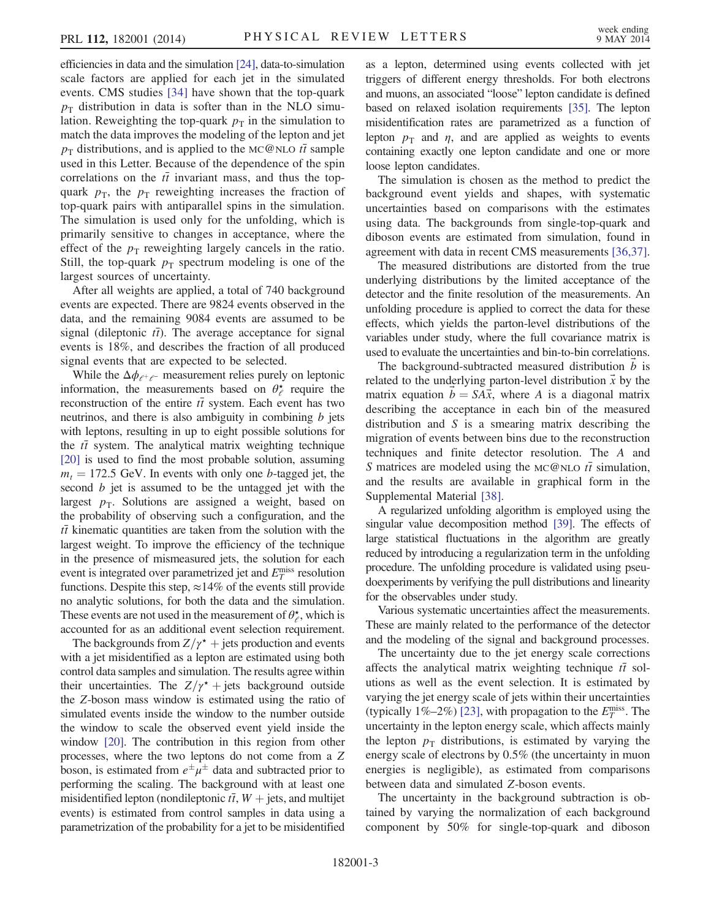efficiencies in data and the simulation [24], data-to-simulation scale factors are applied for each jet in the simulated events. CMS studies [34] have shown that the top-quark  $p<sub>T</sub>$  distribution in data is softer than in the NLO simulation. Reweighting the top-quark  $p<sub>T</sub>$  in the simulation to match the data improves the modeling of the lepton and jet  $p_T$  distributions, and is applied to the MC@NLO  $t\bar{t}$  sample used in this Letter. Because of the dependence of the spin correlations on the  $t\bar{t}$  invariant mass, and thus the topquark  $p_{\text{t}}$ , the  $p_{\text{t}}$  reweighting increases the fraction of top-quark pairs with antiparallel spins in the simulation. The simulation is used only for the unfolding, which is primarily sensitive to changes in acceptance, where the effect of the  $p_T$  reweighting largely cancels in the ratio. Still, the top-quark  $p_T$  spectrum modeling is one of the largest sources of uncertainty.

After all weights are applied, a total of 740 background events are expected. There are 9824 events observed in the data, and the remaining 9084 events are assumed to be signal (dileptonic  $t\bar{t}$ ). The average acceptance for signal events is 18%, and describes the fraction of all produced signal events that are expected to be selected.

While the  $\Delta \phi_{e^+e^-}$  measurement relies purely on leptonic information, the measurements based on  $\theta_{\ell}^{\star}$  require the reconstruction of the entire  $t\bar{t}$  system. Each event has two neutrinos, and there is also ambiguity in combining  $b$  jets with leptons, resulting in up to eight possible solutions for the  $t\bar{t}$  system. The analytical matrix weighting technique [20] is used to find the most probable solution, assuming  $m_t = 172.5$  GeV. In events with only one b-tagged jet, the second b jet is assumed to be the untagged jet with the largest  $p_T$ . Solutions are assigned a weight, based on the probability of observing such a configuration, and the  $t\bar{t}$  kinematic quantities are taken from the solution with the largest weight. To improve the efficiency of the technique in the presence of mismeasured jets, the solution for each event is integrated over parametrized jet and  $E_T^{\text{miss}}$  resolution functions. Despite this step,  $\approx$ 14% of the events still provide no analytic solutions, for both the data and the simulation. These events are not used in the measurement of  $\theta_{\ell}^*$ , which is accounted for as an additional event selection requirement.

The backgrounds from  $Z/\gamma^*$  + jets production and events with a jet misidentified as a lepton are estimated using both control data samples and simulation. The results agree within their uncertainties. The  $Z/\gamma^*$  + jets background outside the Z-boson mass window is estimated using the ratio of simulated events inside the window to the number outside the window to scale the observed event yield inside the window [20]. The contribution in this region from other processes, where the two leptons do not come from a Z boson, is estimated from  $e^{\pm}\mu^{\pm}$  data and subtracted prior to performing the scaling. The background with at least one misidentified lepton (nondileptonic  $t\bar{t}$ ,  $W$  + jets, and multijet events) is estimated from control samples in data using a parametrization of the probability for a jet to be misidentified as a lepton, determined using events collected with jet triggers of different energy thresholds. For both electrons and muons, an associated "loose" lepton candidate is defined based on relaxed isolation requirements [35]. The lepton misidentification rates are parametrized as a function of lepton  $p_T$  and  $\eta$ , and are applied as weights to events containing exactly one lepton candidate and one or more loose lepton candidates.

The simulation is chosen as the method to predict the background event yields and shapes, with systematic uncertainties based on comparisons with the estimates using data. The backgrounds from single-top-quark and diboson events are estimated from simulation, found in agreement with data in recent CMS measurements [36,37].

The measured distributions are distorted from the true underlying distributions by the limited acceptance of the detector and the finite resolution of the measurements. An unfolding procedure is applied to correct the data for these effects, which yields the parton-level distributions of the variables under study, where the full covariance matrix is used to evaluate the uncertainties and bin-to-bin correlations.

The background-subtracted measured distribution  $b$  is related to the underlying parton-level distribution  $\vec{x}$  by the matrix equation  $b = SA\vec{x}$ , where A is a diagonal matrix describing the acceptance in each bin of the measured distribution and  $S$  is a smearing matrix describing the migration of events between bins due to the reconstruction techniques and finite detector resolution. The A and S matrices are modeled using the MC@NLO  $t\bar{t}$  simulation, and the results are available in graphical form in the Supplemental Material [38].

A regularized unfolding algorithm is employed using the singular value decomposition method [39]. The effects of large statistical fluctuations in the algorithm are greatly reduced by introducing a regularization term in the unfolding procedure. The unfolding procedure is validated using pseudoexperiments by verifying the pull distributions and linearity for the observables under study.

Various systematic uncertainties affect the measurements. These are mainly related to the performance of the detector and the modeling of the signal and background processes.

The uncertainty due to the jet energy scale corrections affects the analytical matrix weighting technique  $t\bar{t}$  solutions as well as the event selection. It is estimated by varying the jet energy scale of jets within their uncertainties (typically 1%–2%) [23], with propagation to the  $E_T^{\text{miss}}$ . The uncertainty in the lepton energy scale, which affects mainly the lepton  $p_T$  distributions, is estimated by varying the energy scale of electrons by 0.5% (the uncertainty in muon energies is negligible), as estimated from comparisons between data and simulated Z-boson events.

The uncertainty in the background subtraction is obtained by varying the normalization of each background component by 50% for single-top-quark and diboson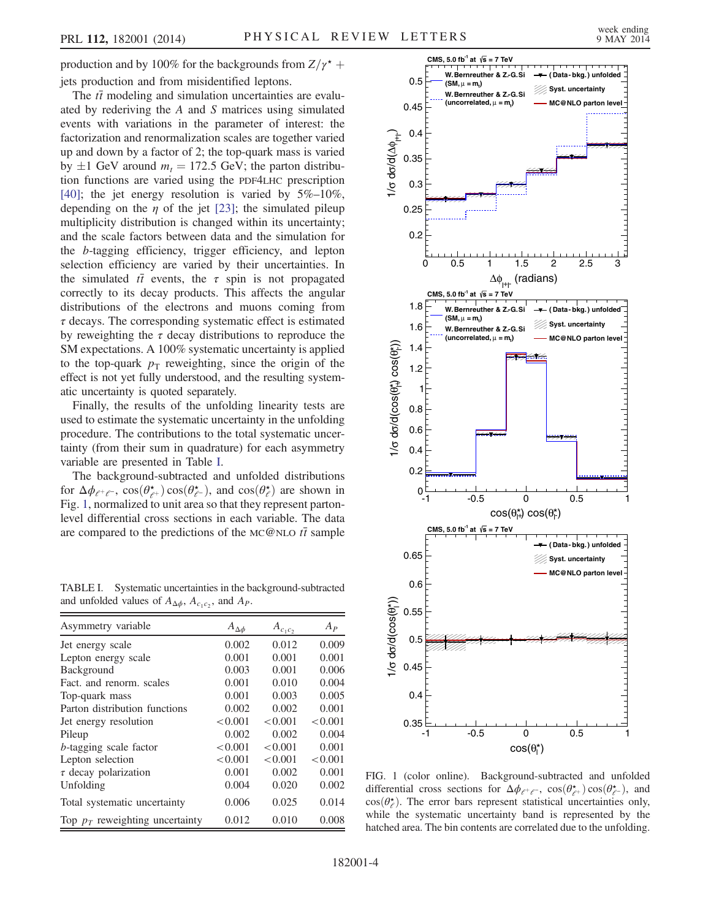production and by 100% for the backgrounds from  $Z/\gamma^*$  + jets production and from misidentified leptons.

The  $t\bar{t}$  modeling and simulation uncertainties are evaluated by rederiving the A and S matrices using simulated events with variations in the parameter of interest: the factorization and renormalization scales are together varied up and down by a factor of 2; the top-quark mass is varied by  $\pm 1$  GeV around  $m_t = 172.5$  GeV; the parton distribution functions are varied using the PDF4LHC prescription [40]; the jet energy resolution is varied by 5%–10%, depending on the  $\eta$  of the jet [23]; the simulated pileup multiplicity distribution is changed within its uncertainty; and the scale factors between data and the simulation for the b-tagging efficiency, trigger efficiency, and lepton selection efficiency are varied by their uncertainties. In the simulated  $t\bar{t}$  events, the  $\tau$  spin is not propagated correctly to its decay products. This affects the angular distributions of the electrons and muons coming from  $\tau$  decays. The corresponding systematic effect is estimated by reweighting the  $\tau$  decay distributions to reproduce the SM expectations. A 100% systematic uncertainty is applied to the top-quark  $p<sub>T</sub>$  reweighting, since the origin of the effect is not yet fully understood, and the resulting systematic uncertainty is quoted separately.

Finally, the results of the unfolding linearity tests are used to estimate the systematic uncertainty in the unfolding procedure. The contributions to the total systematic uncertainty (from their sum in quadrature) for each asymmetry variable are presented in Table I.

The background-subtracted and unfolded distributions for  $\Delta \phi_{\ell^+ \ell^-}$ ,  $\cos(\theta_{\ell^+}^{\star}) \cos(\theta_{\ell^-}^{\star})$ , and  $\cos(\theta_{\ell}^{\star})$  are shown in Fig. 1, normalized to unit area so that they represent partonlevel differential cross sections in each variable. The data are compared to the predictions of the MC@NLO  $t\bar{t}$  sample

TABLE I. Systematic uncertainties in the background-subtracted and unfolded values of  $A_{\Delta\phi}$ ,  $A_{c_1c_2}$ , and  $A_P$ .

| Asymmetry variable                | $A_{\Delta\phi}$ | $A_{c_1c_2}$ | $A_{P}$ |
|-----------------------------------|------------------|--------------|---------|
| Jet energy scale                  | 0.002            | 0.012        | 0.009   |
| Lepton energy scale               | 0.001            | 0.001        | 0.001   |
| Background                        | 0.003            | 0.001        | 0.006   |
| Fact. and renorm. scales          | 0.001            | 0.010        | 0.004   |
| Top-quark mass                    | 0.001            | 0.003        | 0.005   |
| Parton distribution functions     | 0.002            | 0.002        | 0.001   |
| Jet energy resolution             | < 0.001          | < 0.001      | < 0.001 |
| Pileup                            | 0.002            | 0.002        | 0.004   |
| b-tagging scale factor            | < 0.001          | < 0.001      | 0.001   |
| Lepton selection                  | < 0.001          | < 0.001      | < 0.001 |
| $\tau$ decay polarization         | 0.001            | 0.002        | 0.001   |
| Unfolding                         | 0.004            | 0.020        | 0.002   |
| Total systematic uncertainty      | 0.006            | 0.025        | 0.014   |
| Top $p_T$ reweighting uncertainty | 0.012            | 0.010        | 0.008   |



FIG. 1 (color online). Background-subtracted and unfolded differential cross sections for  $\Delta \phi_{e^+e^-}$ ,  $\cos(\theta_{e^+}^*) \cos(\theta_{e^-}^*)$ , and  $cos(\theta_e^*)$ . The error bars represent statistical uncertainties only, while the systematic uncertainty band is represented by the hatched area. The bin contents are correlated due to the unfolding.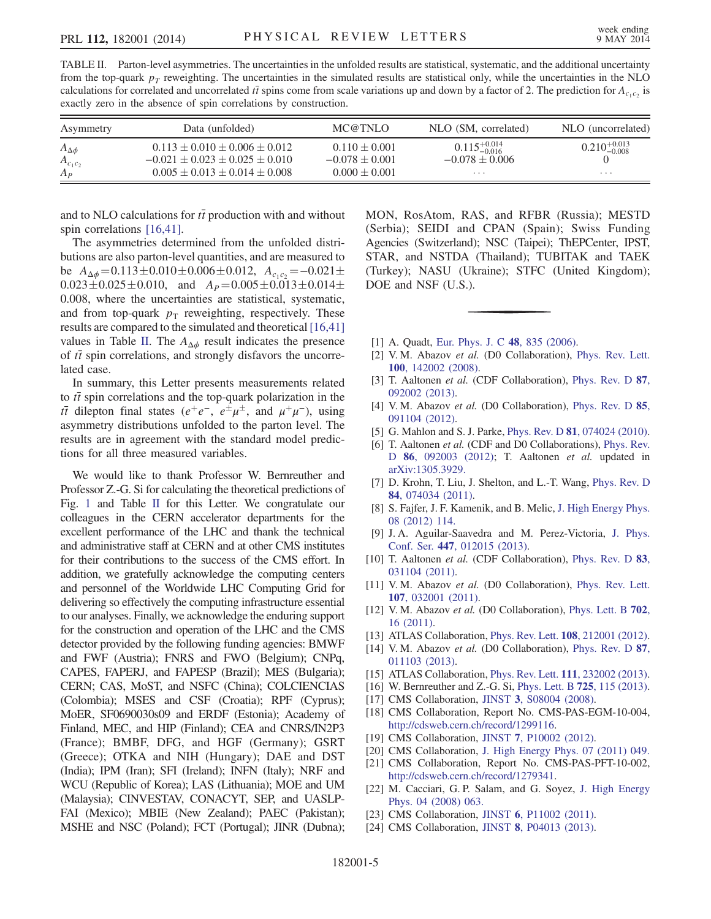| exactly zero in the absence of spin correlations by construction. |                                                                                 |                                         |                                                 |                           |  |  |
|-------------------------------------------------------------------|---------------------------------------------------------------------------------|-----------------------------------------|-------------------------------------------------|---------------------------|--|--|
| Asymmetry                                                         | Data (unfolded)                                                                 | MC@TNLO                                 | NLO (SM, correlated)                            | NLO (uncorrelated)        |  |  |
| $A_{\Delta\phi}$<br>$A_{c_1c_2}$                                  | $0.113 \pm 0.010 \pm 0.006 \pm 0.012$<br>$-0.021 \pm 0.023 \pm 0.025 \pm 0.010$ | $0.110 \pm 0.001$<br>$-0.078 \pm 0.001$ | $0.115^{+0.014}_{-0.016}$<br>$-0.078 \pm 0.006$ | $0.210^{+0.013}_{-0.008}$ |  |  |
| $A_P$                                                             | $0.005 \pm 0.013 \pm 0.014 \pm 0.008$                                           | $0.000 \pm 0.001$                       | $\cdots$                                        | $\cdots$                  |  |  |

TABLE II. Parton-level asymmetries. The uncertainties in the unfolded results are statistical, systematic, and the additional uncertainty from the top-quark  $p_T$  reweighting. The uncertainties in the simulated results are statistical only, while the uncertainties in the NLO calculations for correlated and uncorrelated  $t\bar{t}$  spins come from scale variations up and down by a factor of 2. The prediction for  $A_{c_1c_2}$  is exactly zero in the absence of spin correlations by construction.

and to NLO calculations for  $t\bar{t}$  production with and without spin correlations [16,41].

The asymmetries determined from the unfolded distributions are also parton-level quantities, and are measured to be  $A_{\Delta\phi} = 0.113 \pm 0.010 \pm 0.006 \pm 0.012$ ,  $A_{c_1c_2} = -0.021 \pm$  $0.023\pm0.025\pm0.010$ , and  $A_P=0.005\pm0.013\pm0.014\pm$ 0.008, where the uncertainties are statistical, systematic, and from top-quark  $p_T$  reweighting, respectively. These results are compared to the simulated and theoretical [16,41] values in Table II. The  $A_{\Delta\phi}$  result indicates the presence of  $t\bar{t}$  spin correlations, and strongly disfavors the uncorrelated case.

In summary, this Letter presents measurements related to  $t\bar{t}$  spin correlations and the top-quark polarization in the  $t\bar{t}$  dilepton final states ( $e^+e^-$ ,  $e^{\pm}\mu^{\pm}$ , and  $\mu^+\mu^-$ ), using asymmetry distributions unfolded to the parton level. The results are in agreement with the standard model predictions for all three measured variables.

We would like to thank Professor W. Bernreuther and Professor Z.-G. Si for calculating the theoretical predictions of Fig. 1 and Table II for this Letter. We congratulate our colleagues in the CERN accelerator departments for the excellent performance of the LHC and thank the technical and administrative staff at CERN and at other CMS institutes for their contributions to the success of the CMS effort. In addition, we gratefully acknowledge the computing centers and personnel of the Worldwide LHC Computing Grid for delivering so effectively the computing infrastructure essential to our analyses. Finally, we acknowledge the enduring support for the construction and operation of the LHC and the CMS detector provided by the following funding agencies: BMWF and FWF (Austria); FNRS and FWO (Belgium); CNPq, CAPES, FAPERJ, and FAPESP (Brazil); MES (Bulgaria); CERN; CAS, MoST, and NSFC (China); COLCIENCIAS (Colombia); MSES and CSF (Croatia); RPF (Cyprus); MoER, SF0690030s09 and ERDF (Estonia); Academy of Finland, MEC, and HIP (Finland); CEA and CNRS/IN2P3 (France); BMBF, DFG, and HGF (Germany); GSRT (Greece); OTKA and NIH (Hungary); DAE and DST (India); IPM (Iran); SFI (Ireland); INFN (Italy); NRF and WCU (Republic of Korea); LAS (Lithuania); MOE and UM (Malaysia); CINVESTAV, CONACYT, SEP, and UASLP-FAI (Mexico); MBIE (New Zealand); PAEC (Pakistan); MSHE and NSC (Poland); FCT (Portugal); JINR (Dubna); MON, RosAtom, RAS, and RFBR (Russia); MESTD (Serbia); SEIDI and CPAN (Spain); Swiss Funding Agencies (Switzerland); NSC (Taipei); ThEPCenter, IPST, STAR, and NSTDA (Thailand); TUBITAK and TAEK (Turkey); NASU (Ukraine); STFC (United Kingdom); DOE and NSF (U.S.).

- [1] A. Quadt, Eur. Phys. J. C **48**, 835 (2006).
- [2] V.M. Abazov et al. (D0 Collaboration), Phys. Rev. Lett. 100, 142002 (2008).
- [3] T. Aaltonen et al. (CDF Collaboration), Phys. Rev. D 87, 092002 (2013).
- [4] V.M. Abazov et al. (D0 Collaboration), Phys. Rev. D 85, 091104 (2012).
- [5] G. Mahlon and S. J. Parke, Phys. Rev. D **81**, 074024 (2010).
- [6] T. Aaltonen *et al.* (CDF and D0 Collaborations), Phys. Rev. D 86, 092003 (2012); T. Aaltonen et al. updated in arXiv:1305.3929.
- [7] D. Krohn, T. Liu, J. Shelton, and L.-T. Wang, Phys. Rev. D 84, 074034 (2011).
- [8] S. Fajfer, J. F. Kamenik, and B. Melic, J. High Energy Phys. 08 (2012) 114.
- [9] J. A. Aguilar-Saavedra and M. Perez-Victoria, J. Phys. Conf. Ser. 447, 012015 (2013).
- [10] T. Aaltonen et al. (CDF Collaboration), Phys. Rev. D 83, 031104 (2011).
- [11] V. M. Abazov et al. (D0 Collaboration), Phys. Rev. Lett. 107, 032001 (2011).
- [12] V. M. Abazov et al. (D0 Collaboration), Phys. Lett. B 702, 16 (2011).
- [13] ATLAS Collaboration, *Phys. Rev. Lett.* **108**, 212001 (2012).
- [14] V.M. Abazov et al. (D0 Collaboration), Phys. Rev. D 87, 011103 (2013).
- [15] ATLAS Collaboration, *Phys. Rev. Lett.* **111**, 232002 (2013).
- [16] W. Bernreuther and Z.-G. Si, Phys. Lett. B **725**, 115 (2013).
- [17] CMS Collaboration, JINST 3, S08004 (2008).
- [18] CMS Collaboration, Report No. CMS-PAS-EGM-10-004, http://cdsweb.cern.ch/record/1299116.
- [19] CMS Collaboration, JINST 7, P10002 (2012).
- [20] CMS Collaboration, J. High Energy Phys. 07 (2011) 049.
- [21] CMS Collaboration, Report No. CMS-PAS-PFT-10-002, http://cdsweb.cern.ch/record/1279341.
- [22] M. Cacciari, G. P. Salam, and G. Soyez, J. High Energy Phys. 04 (2008) 063.
- [23] CMS Collaboration, JINST 6, P11002 (2011).
- [24] CMS Collaboration, JINST 8, P04013 (2013).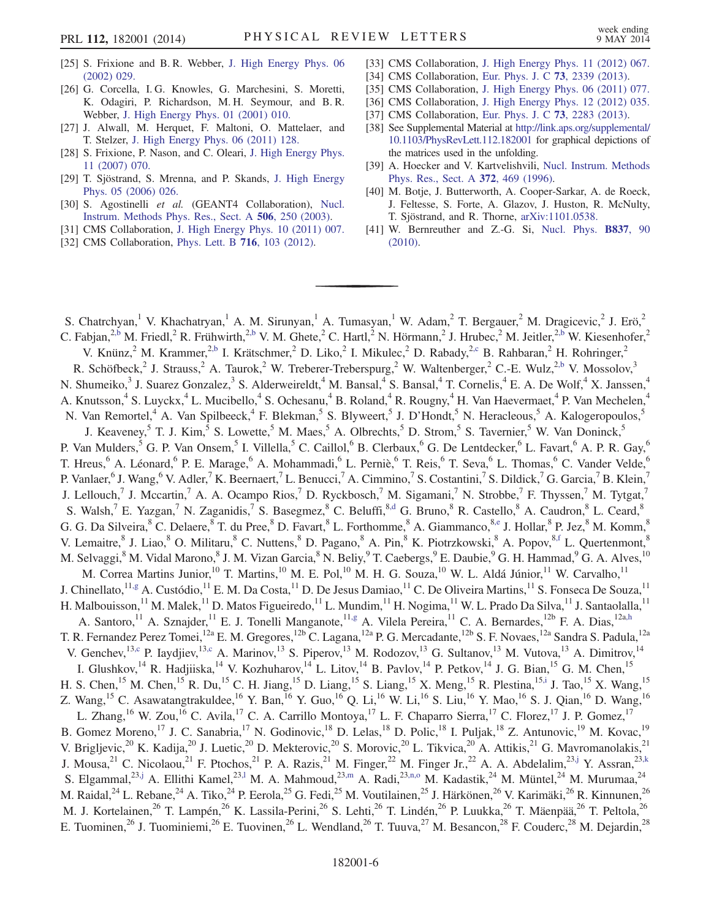- [25] S. Frixione and B. R. Webber, J. High Energy Phys. 06 (2002) 029.
- [26] G. Corcella, I. G. Knowles, G. Marchesini, S. Moretti, K. Odagiri, P. Richardson, M. H. Seymour, and B. R. Webber, J. High Energy Phys. 01 (2001) 010.
- [27] J. Alwall, M. Herquet, F. Maltoni, O. Mattelaer, and T. Stelzer, J. High Energy Phys. 06 (2011) 128.
- [28] S. Frixione, P. Nason, and C. Oleari, J. High Energy Phys. 11 (2007) 070.
- [29] T. Sjöstrand, S. Mrenna, and P. Skands, J. High Energy Phys. 05 (2006) 026.
- [30] S. Agostinelli et al. (GEANT4 Collaboration), Nucl. Instrum. Methods Phys. Res., Sect. A 506, 250 (2003).
- [31] CMS Collaboration, J. High Energy Phys. 10 (2011) 007.
- [32] CMS Collaboration, Phys. Lett. B 716, 103 (2012).
- [33] CMS Collaboration, J. High Energy Phys. 11 (2012) 067.
- [34] CMS Collaboration, Eur. Phys. J. C 73, 2339 (2013).
- [35] CMS Collaboration, J. High Energy Phys. 06 (2011) 077.
- [36] CMS Collaboration, J. High Energy Phys. 12 (2012) 035.
- [37] CMS Collaboration, Eur. Phys. J. C 73, 2283 (2013).
- [38] See Supplemental Material at http://link.aps.org/supplemental/ 10.1103/PhysRevLett.112.182001 for graphical depictions of the matrices used in the unfolding.
- [39] A. Hoecker and V. Kartvelishvili, Nucl. Instrum. Methods Phys. Res., Sect. A 372, 469 (1996).
- [40] M. Botje, J. Butterworth, A. Cooper-Sarkar, A. de Roeck, J. Feltesse, S. Forte, A. Glazov, J. Huston, R. McNulty, T. Sjöstrand, and R. Thorne, arXiv:1101.0538.
- [41] W. Bernreuther and Z.-G. Si, Nucl. Phys. B837, 90 (2010).

S. Chatrchyan,<sup>1</sup> V. Khachatryan,<sup>1</sup> A. M. Sirunyan,<sup>1</sup> A. Tumasyan,<sup>1</sup> W. Adam,<sup>2</sup> T. Bergauer,<sup>2</sup> M. Dragicevic,<sup>2</sup> J. Erö,<sup>2</sup> C. Fabjan,<sup>2,b</sup> M. Friedl,<sup>2</sup> R. Frühwirth,<sup>2,b</sup> V. M. Ghete,<sup>2</sup> C. Hartl,<sup>2</sup> N. Hörmann,<sup>2</sup> J. Hrubec,<sup>2</sup> M. Jeitler,<sup>2,b</sup> W. Kiesenhofer,<sup>2</sup> V. Knünz, <sup>2</sup> M. Krammer,<sup>2,b</sup> I. Krätschmer, <sup>2</sup> D. Liko, <sup>2</sup> I. Mikulec, <sup>2</sup> D. Rabady, <sup>2,c</sup> B. Rahbaran, <sup>2</sup> H. Rohringer, <sup>2</sup> R. Schöfbeck,<sup>2</sup> J. Strauss,<sup>2</sup> A. Taurok,<sup>2</sup> W. Treberer-Treberspurg,<sup>2</sup> W. Waltenberger,<sup>2</sup> C.-E. Wulz,<sup>2,b</sup> V. Mossolov,<sup>3</sup> N. Shumeiko,<sup>3</sup> J. Suarez Gonzalez,<sup>3</sup> S. Alderweireldt,<sup>4</sup> M. Bansal,<sup>4</sup> S. Bansal,<sup>4</sup> T. Cornelis,<sup>4</sup> E. A. De Wolf,<sup>4</sup> X. Janssen,<sup>4</sup> A. Knutsson,<sup>4</sup> S. Luyckx,<sup>4</sup> L. Mucibello,<sup>4</sup> S. Ochesanu,<sup>4</sup> B. Roland,<sup>4</sup> R. Rougny,<sup>4</sup> H. Van Haevermaet,<sup>4</sup> P. Van Mechelen,<sup>4</sup> N. Van Remortel,<sup>4</sup> A. Van Spilbeeck,<sup>4</sup> F. Blekman,<sup>5</sup> S. Blyweert,<sup>5</sup> J. D'Hondt,<sup>5</sup> N. Heracleous,<sup>5</sup> A. Kalogeropoulos,<sup>5</sup> J. Keaveney,<sup>5</sup> T. J. Kim,<sup>5</sup> S. Lowette,<sup>5</sup> M. Maes,<sup>5</sup> A. Olbrechts,<sup>5</sup> D. Strom,<sup>5</sup> S. Tavernier,<sup>5</sup> W. Van Doninck,<sup>5</sup> P. Van Mulders,<sup>5</sup> G. P. Van Onsem,<sup>5</sup> I. Villella,<sup>5</sup> C. Caillol,<sup>6</sup> B. Clerbaux,<sup>6</sup> G. De Lentdecker,<sup>6</sup> L. Favart,<sup>6</sup> A. P. R. Gay,<sup>6</sup> T. Hreus,<sup>6</sup> A. Léonard,<sup>6</sup> P. E. Marage,<sup>6</sup> A. Mohammadi,<sup>6</sup> L. Perniè,<sup>6</sup> T. Reis,<sup>6</sup> T. Seva,<sup>6</sup> L. Thomas,<sup>6</sup> C. Vander Velde,<sup>6</sup> P. Vanlaer,<sup>6</sup> J. Wang,<sup>6</sup> V. Adler,<sup>7</sup> K. Beernaert,<sup>7</sup> L. Benucci,<sup>7</sup> A. Cimmino,<sup>7</sup> S. Costantini,<sup>7</sup> S. Dildick,<sup>7</sup> G. Garcia,<sup>7</sup> B. Klein,<sup>7</sup> J. Lellouch,<sup>7</sup> J. Mccartin,<sup>7</sup> A. A. Ocampo Rios,<sup>7</sup> D. Ryckbosch,<sup>7</sup> M. Sigamani,<sup>7</sup> N. Strobbe,<sup>7</sup> F. Thyssen,<sup>7</sup> M. Tytgat,<sup>7</sup> S. Walsh,<sup>7</sup> E. Yazgan,<sup>7</sup> N. Zaganidis,<sup>7</sup> S. Basegmez,<sup>8</sup> C. Beluffi,<sup>8,d</sup> G. Bruno,<sup>8</sup> R. Castello,<sup>8</sup> A. Caudron,<sup>8</sup> L. Ceard,<sup>8</sup> G. G. Da Silveira, <sup>8</sup> C. Delaere, <sup>8</sup> T. du Pree, <sup>8</sup> D. Favart, <sup>8</sup> L. Forthomme, <sup>8</sup> A. Giammanco, <sup>8,e</sup> J. Hollar, <sup>8</sup> P. Jez, <sup>8</sup> M. Komm, V. Lemaitre,<sup>8</sup> J. Liao,<sup>8</sup> O. Militaru,<sup>8</sup> C. Nuttens,<sup>8</sup> D. Pagano,<sup>8</sup> A. Pin,<sup>8</sup> K. Piotrzkowski,<sup>8</sup> A. Popov,<sup>8,f</sup> L. Quertenmont,<sup>8</sup> M. Selvaggi,<sup>8</sup> M. Vidal Marono,<sup>8</sup> J. M. Vizan Garcia,<sup>8</sup> N. Beliy,<sup>9</sup> T. Caebergs,<sup>9</sup> E. Daubie,<sup>9</sup> G. H. Hammad,<sup>9</sup> G. A. Alves,<sup>10</sup> M. Correa Martins Junior,<sup>10</sup> T. Martins,<sup>10</sup> M. E. Pol,<sup>10</sup> M. H. G. Souza,<sup>10</sup> W. L. Aldá Júnior,<sup>11</sup> W. Carvalho,<sup>11</sup> J. Chinellato, <sup>11,g</sup> A. Custódio, <sup>11</sup> E. M. Da Costa, <sup>11</sup> D. De Jesus Damiao, <sup>11</sup> C. De Oliveira Martins, <sup>11</sup> S. Fonseca De Souza, <sup>11</sup> H. Malbouisson,<sup>11</sup> M. Malek,<sup>11</sup> D. Matos Figueiredo,<sup>11</sup> L. Mundim,<sup>11</sup> H. Nogima,<sup>11</sup> W. L. Prado Da Silva,<sup>11</sup> J. Santaolalla,<sup>11</sup> A. Santoro,<sup>11</sup> A. Sznajder,<sup>11</sup> E. J. Tonelli Manganote,<sup>11,g</sup> A. Vilela Pereira,<sup>11</sup> C. A. Bernardes,<sup>12b</sup> F. A. Dias,<sup>12a,h</sup> T. R. Fernandez Perez Tomei, <sup>12a</sup> E. M. Gregores, <sup>12b</sup> C. Lagana, <sup>12a</sup> P. G. Mercadante, <sup>12b</sup> S. F. Novaes, <sup>12a</sup> Sandra S. Padula, <sup>12a</sup> V. Genchev,<sup>13,c</sup> P. Iaydjiev,<sup>13,c</sup> A. Marinov,<sup>13</sup> S. Piperov,<sup>13</sup> M. Rodozov,<sup>13</sup> G. Sultanov,<sup>13</sup> M. Vutova,<sup>13</sup> A. Dimitrov,<sup>14</sup> I. Glushkov,<sup>14</sup> R. Hadjiiska,<sup>14</sup> V. Kozhuharov,<sup>14</sup> L. Litov,<sup>14</sup> B. Pavlov,<sup>14</sup> P. Petkov,<sup>14</sup> J. G. Bian,<sup>15</sup> G. M. Chen,<sup>15</sup> H. S. Chen,<sup>15</sup> M. Chen,<sup>15</sup> R. Du,<sup>15</sup> C. H. Jiang,<sup>15</sup> D. Liang,<sup>15</sup> S. Liang,<sup>15</sup> X. Meng,<sup>15</sup> R. Plestina,<sup>15,i</sup> J. Tao,<sup>15</sup> X. Wang,<sup>15</sup> Z. Wang,<sup>15</sup> C. Asawatangtrakuldee,<sup>16</sup> Y. Ban,<sup>16</sup> Y. Guo,<sup>16</sup> Q. Li,<sup>16</sup> W. Li,<sup>16</sup> S. Liu,<sup>16</sup> Y. Mao,<sup>16</sup> S. J. Qian,<sup>16</sup> D. Wang,<sup>16</sup> L. Zhang,<sup>16</sup> W. Zou,<sup>16</sup> C. Avila,<sup>17</sup> C. A. Carrillo Montoya,<sup>17</sup> L. F. Chaparro Sierra,<sup>17</sup> C. Florez,<sup>17</sup> J. P. Gomez,<sup>17</sup> B. Gomez Moreno,<sup>17</sup> J. C. Sanabria,<sup>17</sup> N. Godinovic,<sup>18</sup> D. Lelas,<sup>18</sup> D. Polic,<sup>18</sup> I. Puljak,<sup>18</sup> Z. Antunovic,<sup>19</sup> M. Kovac,<sup>19</sup> V. Brigljevic,<sup>20</sup> K. Kadija,<sup>20</sup> J. Luetic,<sup>20</sup> D. Mekterovic,<sup>20</sup> S. Morovic,<sup>20</sup> L. Tikvica,<sup>20</sup> A. Attikis,<sup>21</sup> G. Mavromanolakis,<sup>21</sup> J. Mousa,<sup>21</sup> C. Nicolaou,<sup>21</sup> F. Ptochos,<sup>21</sup> P. A. Razis,<sup>21</sup> M. Finger,<sup>22</sup> M. Finger Jr.,<sup>22</sup> A. A. Abdelalim,<sup>23,j</sup> Y. Assran,<sup>23,k</sup> S. Elgammal,<sup>23,j</sup> A. Ellithi Kamel,<sup>23,l</sup> M. A. Mahmoud,<sup>23,m</sup> A. Radi,<sup>23,n,o</sup> M. Kadastik,<sup>24</sup> M. Müntel,<sup>24</sup> M. Murumaa,<sup>24</sup> M. Raidal,<sup>24</sup> L. Rebane,<sup>24</sup> A. Tiko,<sup>24</sup> P. Eerola,<sup>25</sup> G. Fedi,<sup>25</sup> M. Voutilainen,<sup>25</sup> J. Härkönen,<sup>26</sup> V. Karimäki,<sup>26</sup> R. Kinnunen,<sup>26</sup> M. J. Kortelainen,<sup>26</sup> T. Lampén,<sup>26</sup> K. Lassila-Perini,<sup>26</sup> S. Lehti,<sup>26</sup> T. Lindén,<sup>26</sup> P. Luukka,<sup>26</sup> T. Mäenpää,<sup>26</sup> T. Peltola,<sup>26</sup> E. Tuominen,<sup>26</sup> J. Tuominiemi,<sup>26</sup> E. Tuovinen,<sup>26</sup> L. Wendland,<sup>26</sup> T. Tuuva,<sup>27</sup> M. Besancon,<sup>28</sup> F. Couderc,<sup>28</sup> M. Dejardin,<sup>28</sup>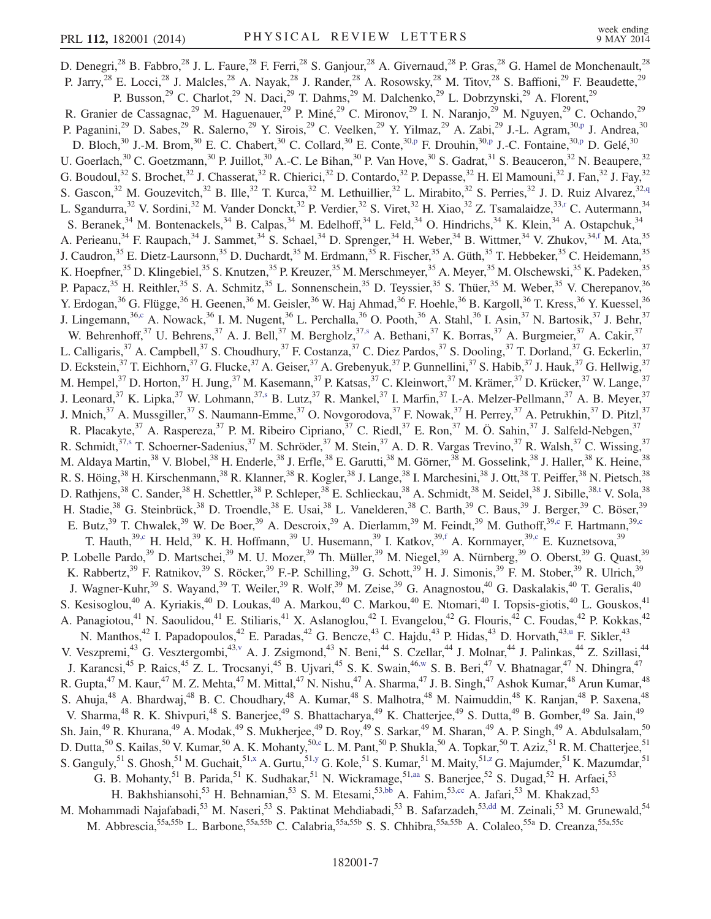D. Denegri,<sup>28</sup> B. Fabbro,<sup>28</sup> J. L. Faure,<sup>28</sup> F. Ferri,<sup>28</sup> S. Ganjour,<sup>28</sup> A. Givernaud,<sup>28</sup> P. Gras,<sup>28</sup> G. Hamel de Monchenault,<sup>28</sup> P. Jarry,<sup>28</sup> E. Locci,<sup>28</sup> J. Malcles,<sup>28</sup> A. Nayak,<sup>28</sup> J. Rander,<sup>28</sup> A. Rosowsky,<sup>28</sup> M. Titov,<sup>28</sup> S. Baffioni,<sup>29</sup> F. Beaudette,<sup>29</sup> P. Busson,<sup>29</sup> C. Charlot,<sup>29</sup> N. Daci,<sup>29</sup> T. Dahms,<sup>29</sup> M. Dalchenko,<sup>29</sup> L. Dobrzynski,<sup>29</sup> A. Florent,<sup>29</sup> R. Granier de Cassagnac,<sup>29</sup> M. Haguenauer,<sup>29</sup> P. Miné,<sup>29</sup> C. Mironov,<sup>29</sup> I. N. Naranjo,<sup>29</sup> M. Nguyen,<sup>29</sup> C. Ochando,<sup>29</sup> P. Paganini,<sup>29</sup> D. Sabes,<sup>29</sup> R. Salerno,<sup>29</sup> Y. Sirois,<sup>29</sup> C. Veelken,<sup>29</sup> Y. Yilmaz,<sup>29</sup> A. Zabi,<sup>29</sup> J.-L. Agram,<sup>30,p</sup> J. Andrea,<sup>30</sup> D. Bloch,<sup>30</sup> J.-M. Brom,<sup>30</sup> E. C. Chabert,<sup>30</sup> C. Collard,<sup>30</sup> E. Conte,<sup>30,p</sup> F. Drouhin,<sup>30,p</sup> J.-C. Fontaine,<sup>30,p</sup> D. Gelé,<sup>30</sup> U. Goerlach,<sup>30</sup> C. Goetzmann,<sup>30</sup> P. Juillot,<sup>30</sup> A.-C. Le Bihan,<sup>30</sup> P. Van Hove,<sup>30</sup> S. Gadrat,<sup>31</sup> S. Beauceron,<sup>32</sup> N. Beaupere,<sup>32</sup> G. Boudoul,<sup>32</sup> S. Brochet,<sup>32</sup> J. Chasserat,<sup>32</sup> R. Chierici,<sup>32</sup> D. Contardo,<sup>32</sup> P. Depasse,<sup>32</sup> H. El Mamouni,<sup>32</sup> J. Fan,<sup>32</sup> J. Fay,<sup>32</sup> S. Gascon,<sup>32</sup> M. Gouzevitch,<sup>32</sup> B. Ille,<sup>32</sup> T. Kurca,<sup>32</sup> M. Lethuillier,<sup>32</sup> L. Mirabito,<sup>32</sup> S. Perries,<sup>32</sup> J. D. Ruiz Alvarez,<sup>32,q</sup> L. Sgandurra,<sup>32</sup> V. Sordini,<sup>32</sup> M. Vander Donckt,<sup>32</sup> P. Verdier,<sup>32</sup> S. Viret,<sup>32</sup> H. Xiao,<sup>32</sup> Z. Tsamalaidze,<sup>33,r</sup> C. Autermann,<sup>34</sup> S. Beranek,<sup>34</sup> M. Bontenackels,<sup>34</sup> B. Calpas,<sup>34</sup> M. Edelhoff,<sup>34</sup> L. Feld,<sup>34</sup> O. Hindrichs,<sup>34</sup> K. Klein,<sup>34</sup> A. Ostapchuk,<sup>34</sup> A. Perieanu,<sup>34</sup> F. Raupach,<sup>34</sup> J. Sammet,<sup>34</sup> S. Schael,<sup>34</sup> D. Sprenger,<sup>34</sup> H. Weber,<sup>34</sup> B. Wittmer,<sup>34</sup> V. Zhukov,<sup>34,f</sup> M. Ata,<sup>35</sup> J. Caudron,<sup>35</sup> E. Dietz-Laursonn,<sup>35</sup> D. Duchardt,<sup>35</sup> M. Erdmann,<sup>35</sup> R. Fischer,<sup>35</sup> A. Güth,<sup>35</sup> T. Hebbeker,<sup>35</sup> C. Heidemann,<sup>35</sup> K. Hoepfner,<sup>35</sup> D. Klingebiel,<sup>35</sup> S. Knutzen,<sup>35</sup> P. Kreuzer,<sup>35</sup> M. Merschmeyer,<sup>35</sup> A. Meyer,<sup>35</sup> M. Olschewski,<sup>35</sup> K. Padeken,<sup>35</sup> P. Papacz,<sup>35</sup> H. Reithler,<sup>35</sup> S. A. Schmitz,<sup>35</sup> L. Sonnenschein,<sup>35</sup> D. Teyssier,<sup>35</sup> S. Thüer,<sup>35</sup> M. Weber,<sup>35</sup> V. Cherepanov,<sup>36</sup> Y. Erdogan,<sup>36</sup> G. Flügge,<sup>36</sup> H. Geenen,<sup>36</sup> M. Geisler,<sup>36</sup> W. Haj Ahmad,<sup>36</sup> F. Hoehle,<sup>36</sup> B. Kargoll,<sup>36</sup> T. Kress,<sup>36</sup> Y. Kuessel,<sup>36</sup> J. Lingemann,<sup>36,c</sup> A. Nowack,<sup>36</sup> I. M. Nugent,<sup>36</sup> L. Perchalla,<sup>36</sup> O. Pooth,<sup>36</sup> A. Stahl,<sup>36</sup> I. Asin,<sup>37</sup> N. Bartosik,<sup>37</sup> J. Behr,<sup>37</sup> W. Behrenhoff,<sup>37</sup> U. Behrens,<sup>37</sup> A. J. Bell,<sup>37</sup> M. Bergholz,<sup>37,s</sup> A. Bethani,<sup>37</sup> K. Borras,<sup>37</sup> A. Burgmeier,<sup>37</sup> A. Cakir,<sup>37</sup> L. Calligaris,<sup>37</sup> A. Campbell,<sup>37</sup> S. Choudhury,<sup>37</sup> F. Costanza,<sup>37</sup> C. Diez Pardos,<sup>37</sup> S. Dooling,<sup>37</sup> T. Dorland,<sup>37</sup> G. Eckerlin,<sup>37</sup> D. Eckstein,<sup>37</sup> T. Eichhorn,<sup>37</sup> G. Flucke,<sup>37</sup> A. Geiser,<sup>37</sup> A. Grebenyuk,<sup>37</sup> P. Gunnellini,<sup>37</sup> S. Habib,<sup>37</sup> J. Hauk,<sup>37</sup> G. Hellwig,<sup>37</sup> M. Hempel,<sup>37</sup> D. Horton,<sup>37</sup> H. Jung,<sup>37</sup> M. Kasemann,<sup>37</sup> P. Katsas,<sup>37</sup> C. Kleinwort,<sup>37</sup> M. Krämer,<sup>37</sup> D. Krücker,<sup>37</sup> W. Lange,<sup>37</sup> J. Leonard,<sup>37</sup> K. Lipka,<sup>37</sup> W. Lohmann,<sup>37,s</sup> B. Lutz,<sup>37</sup> R. Mankel,<sup>37</sup> I. Marfin,<sup>37</sup> I.-A. Melzer-Pellmann,<sup>37</sup> A. B. Meyer,<sup>37</sup> J. Mnich,<sup>37</sup> A. Mussgiller,<sup>37</sup> S. Naumann-Emme,<sup>37</sup> O. Novgorodova,<sup>37</sup> F. Nowak,<sup>37</sup> H. Perrey,<sup>37</sup> A. Petrukhin,<sup>37</sup> D. Pitzl,<sup>37</sup> R. Placakyte,<sup>37</sup> A. Raspereza,<sup>37</sup> P. M. Ribeiro Cipriano, <sup>37</sup> C. Riedl, <sup>37</sup> E. Ron, <sup>37</sup> M. Ö. Sahin, <sup>37</sup> J. Salfeld-Nebgen, <sup>37</sup> R. Schmidt,<sup>37,s</sup> T. Schoerner-Sadenius,<sup>37</sup> M. Schröder,<sup>37</sup> M. Stein,<sup>37</sup> A. D. R. Vargas Trevino,<sup>37</sup> R. Walsh,<sup>37</sup> C. Wissing,<sup>37</sup> M. Aldaya Martin,<sup>38</sup> V. Blobel,<sup>38</sup> H. Enderle,<sup>38</sup> J. Erfle,<sup>38</sup> E. Garutti,<sup>38</sup> M. Görner,<sup>38</sup> M. Gosselink,<sup>38</sup> J. Haller,<sup>38</sup> K. Heine,<sup>38</sup> R. S. Höing,<sup>38</sup> H. Kirschenmann,<sup>38</sup> R. Klanner,<sup>38</sup> R. Kogler,<sup>38</sup> J. Lange,<sup>38</sup> I. Marchesini,<sup>38</sup> J. Ott,<sup>38</sup> T. Peiffer,<sup>38</sup> N. Pietsch,<sup>38</sup> D. Rathjens,<sup>38</sup> C. Sander,<sup>38</sup> H. Schettler,<sup>38</sup> P. Schleper,<sup>38</sup> E. Schlieckau,<sup>38</sup> A. Schmidt,<sup>38</sup> M. Seidel,<sup>38</sup> J. Sibille,<sup>38,t</sup> V. Sola,<sup>38</sup> H. Stadie,<sup>38</sup> G. Steinbrück,<sup>38</sup> D. Troendle,<sup>38</sup> E. Usai,<sup>38</sup> L. Vanelderen,<sup>38</sup> C. Barth,<sup>39</sup> C. Baus,<sup>39</sup> J. Berger,<sup>39</sup> C. Böser,<sup>39</sup> E. Butz,<sup>39</sup> T. Chwalek,<sup>39</sup> W. De Boer,<sup>39</sup> A. Descroix,<sup>39</sup> A. Dierlamm,<sup>39</sup> M. Feindt,<sup>39</sup> M. Guthoff,<sup>39,c</sup> F. Hartmann,<sup>39,c</sup> T. Hauth,  $39, c$  H. Held,  $39$  K. H. Hoffmann,  $39$  U. Husemann,  $39$  I. Katkov,  $39, f$  A. Kornmayer,  $39, c$  E. Kuznetsova,  $39$ P. Lobelle Pardo,<sup>39</sup> D. Martschei,<sup>39</sup> M. U. Mozer,<sup>39</sup> Th. Müller,<sup>39</sup> M. Niegel,<sup>39</sup> A. Nürnberg,<sup>39</sup> O. Oberst,<sup>39</sup> G. Quast,<sup>39</sup> K. Rabbertz,<sup>39</sup> F. Ratnikov,<sup>39</sup> S. Röcker,<sup>39</sup> F.-P. Schilling,<sup>39</sup> G. Schott,<sup>39</sup> H. J. Simonis,<sup>39</sup> F. M. Stober,<sup>39</sup> R. Ulrich,<sup>39</sup> J. Wagner-Kuhr,<sup>39</sup> S. Wayand,<sup>39</sup> T. Weiler,<sup>39</sup> R. Wolf,<sup>39</sup> M. Zeise,<sup>39</sup> G. Anagnostou,<sup>40</sup> G. Daskalakis,<sup>40</sup> T. Geralis,<sup>40</sup> S. Kesisoglou,<sup>40</sup> A. Kyriakis,<sup>40</sup> D. Loukas,<sup>40</sup> A. Markou,<sup>40</sup> C. Markou,<sup>40</sup> E. Ntomari,<sup>40</sup> I. Topsis-giotis,<sup>40</sup> L. Gouskos,<sup>41</sup> A. Panagiotou,<sup>41</sup> N. Saoulidou,<sup>41</sup> E. Stiliaris,<sup>41</sup> X. Aslanoglou,<sup>42</sup> I. Evangelou,<sup>42</sup> G. Flouris,<sup>42</sup> C. Foudas,<sup>42</sup> P. Kokkas,<sup>42</sup> N. Manthos,<sup>42</sup> I. Papadopoulos,<sup>42</sup> E. Paradas,<sup>42</sup> G. Bencze,<sup>43</sup> C. Hajdu,<sup>43</sup> P. Hidas,<sup>43</sup> D. Horvath,<sup>43,u</sup> F. Sikler,<sup>43</sup> V. Veszpremi,<sup>43</sup> G. Vesztergombi,<sup>43,v</sup> A. J. Zsigmond,<sup>43</sup> N. Beni,<sup>44</sup> S. Czellar,<sup>44</sup> J. Molnar,<sup>44</sup> J. Palinkas,<sup>44</sup> Z. Szillasi,<sup>44</sup> J. Karancsi,<sup>45</sup> P. Raics,<sup>45</sup> Z. L. Trocsanyi,<sup>45</sup> B. Ujvari,<sup>45</sup> S. K. Swain,<sup>46,w</sup> S. B. Beri,<sup>47</sup> V. Bhatnagar,<sup>47</sup> N. Dhingra,<sup>47</sup> R. Gupta, $^{47}$  M. Kaur, $^{47}$  M. Z. Mehta, $^{47}$  M. Mittal, $^{47}$  N. Nishu, $^{47}$  A. Sharma, $^{47}$  J. B. Singh, $^{47}$  Ashok Kumar, $^{48}$  Arun Kumar, $^{48}$ S. Ahuja,<sup>48</sup> A. Bhardwaj,<sup>48</sup> B. C. Choudhary,<sup>48</sup> A. Kumar,<sup>48</sup> S. Malhotra,<sup>48</sup> M. Naimuddin,<sup>48</sup> K. Ranjan,<sup>48</sup> P. Saxena,<sup>48</sup> V. Sharma,<sup>48</sup> R. K. Shivpuri,<sup>48</sup> S. Banerjee,<sup>49</sup> S. Bhattacharya,<sup>49</sup> K. Chatterjee,<sup>49</sup> S. Dutta,<sup>49</sup> B. Gomber,<sup>49</sup> Sa. Jain,<sup>49</sup> Sh. Jain,<sup>49</sup> R. Khurana,<sup>49</sup> A. Modak,<sup>49</sup> S. Mukherjee,<sup>49</sup> D. Roy,<sup>49</sup> S. Sarkar,<sup>49</sup> M. Sharan,<sup>49</sup> A. P. Singh,<sup>49</sup> A. Abdulsalam,<sup>50</sup> D. Dutta,<sup>50</sup> S. Kailas,<sup>50</sup> V. Kumar,<sup>50</sup> A. K. Mohanty,<sup>50,c</sup> L. M. Pant,<sup>50</sup> P. Shukla,<sup>50</sup> A. Topkar,<sup>50</sup> T. Aziz,<sup>51</sup> R. M. Chatterjee,<sup>51</sup> S. Ganguly,<sup>51</sup> S. Ghosh,<sup>51</sup> M. Guchait,<sup>51,x</sup> A. Gurtu,<sup>51,y</sup> G. Kole,<sup>51</sup> S. Kumar,<sup>51</sup> M. Maity,<sup>51,z</sup> G. Majumder,<sup>51</sup> K. Mazumdar,<sup>51</sup> G. B. Mohanty,<sup>51</sup> B. Parida,<sup>51</sup> K. Sudhakar,<sup>51</sup> N. Wickramage,<sup>51,aa</sup> S. Banerjee,<sup>52</sup> S. Dugad,<sup>52</sup> H. Arfaei,<sup>53</sup> H. Bakhshiansohi,<sup>53</sup> H. Behnamian,<sup>53</sup> S. M. Etesami,<sup>53,bb</sup> A. Fahim,<sup>53,cc</sup> A. Jafari,<sup>53</sup> M. Khakzad,<sup>53</sup> M. Mohammadi Najafabadi,<sup>53</sup> M. Naseri,<sup>53</sup> S. Paktinat Mehdiabadi,<sup>53</sup> B. Safarzadeh,<sup>53,dd</sup> M. Zeinali,<sup>53</sup> M. Grunewald,<sup>54</sup> M. Abbrescia,<sup>55a,55b</sup> L. Barbone,<sup>55a,55b</sup> C. Calabria,<sup>55a,55b</sup> S. S. Chhibra,<sup>55a,55b</sup> A. Colaleo,<sup>55a</sup> D. Creanza,<sup>55a,55c</sup>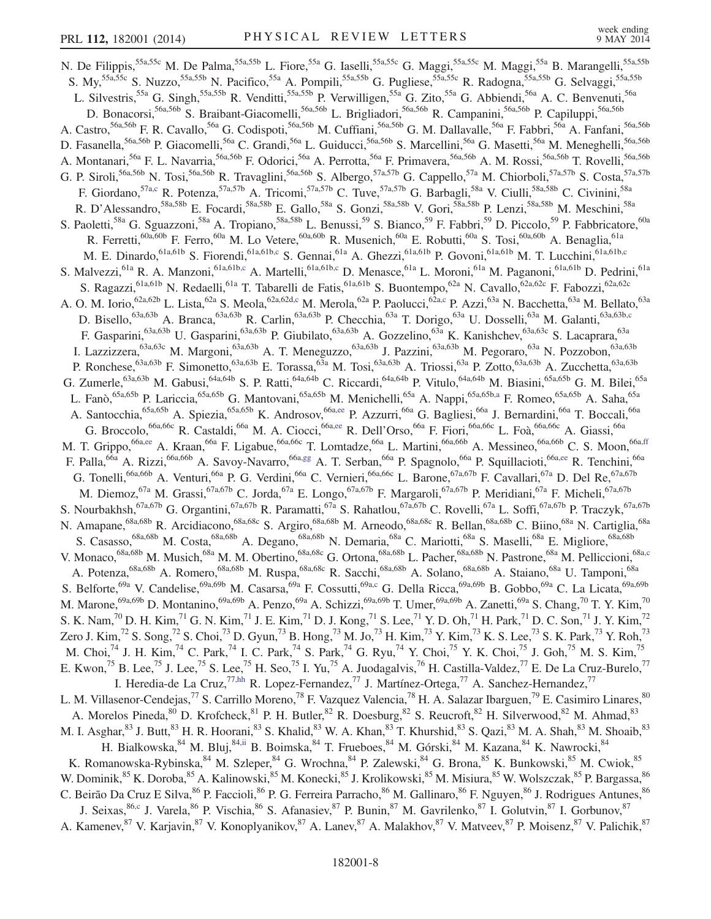N. De Filippis,<sup>55a,55c</sup> M. De Palma,<sup>55a,55b</sup> L. Fiore,<sup>55a</sup> G. Iaselli,<sup>55a,55c</sup> G. Maggi,<sup>55a,55c</sup> M. Maggi,<sup>55a</sup> B. Marangelli,<sup>55a,55b</sup> S. My,<sup>55a,55c</sup> S. Nuzzo,<sup>55a,55b</sup> N. Pacifico,<sup>55a</sup> A. Pompili,<sup>55a,55b</sup> G. Pugliese,<sup>55a,55c</sup> R. Radogna,<sup>55a,55b</sup> G. Selvaggi,<sup>55a,55b</sup> L. Silvestris,<sup>55a</sup> G. Singh,<sup>55a,55b</sup> R. Venditti,<sup>55a,55b</sup> P. Verwilligen,<sup>55a</sup> G. Zito,<sup>55a</sup> G. Abbiendi,<sup>56a</sup> A. C. Benvenuti,<sup>56a</sup> D. Bonacorsi,<sup>56a,56b</sup> S. Braibant-Giacomelli,<sup>56a,56b</sup> L. Brigliadori,<sup>56a,56b</sup> R. Campanini,<sup>56a,56b</sup> P. Capiluppi,<sup>56a,56b</sup> A. Castro,<sup>56a,56b</sup> F. R. Cavallo,<sup>56a</sup> G. Codispoti,<sup>56a,56b</sup> M. Cuffiani,<sup>56a,56b</sup> G. M. Dallavalle,<sup>56a</sup> F. Fabbri,<sup>56a</sup> A. Fanfani,<sup>56a,56b</sup> D. Fasanella,<sup>56a,56b</sup> P. Giacomelli,<sup>56a</sup> C. Grandi,<sup>56a</sup> L. Guiducci,<sup>56a,56b</sup> S. Marcellini,<sup>56a</sup> G. Masetti,<sup>56a</sup> M. Meneghelli,<sup>56a,56b</sup> A. Montanari,<sup>56a</sup> F. L. Navarria,<sup>56a,56b</sup> F. Odorici,<sup>56a</sup> A. Perrotta,<sup>56a</sup> F. Primavera,<sup>56a,56b</sup> A. M. Rossi,<sup>56a,56b</sup> T. Rovelli,<sup>56a,56b</sup> G. P. Siroli,<sup>56a,56b</sup> N. Tosi,<sup>56a,56b</sup> R. Travaglini,<sup>56a,56b</sup> S. Albergo,<sup>57a,57b</sup> G. Cappello,<sup>57a</sup> M. Chiorboli,<sup>57a,57b</sup> S. Costa,<sup>57a,57b</sup> F. Giordano,<sup>57a,67b</sup> R. Potenza,<sup>57a,57b</sup> A. Tricomi,<sup>57a,57b</sup> C. Tuve,<sup>57</sup> F. Giordano, <sup>57a,c</sup> R. Potenza, <sup>57a,57b</sup> A. Tricomi, <sup>57a,57b</sup> C. Tuve, <sup>57a,57b</sup> G. Barbagli, <sup>58a</sup> V. Ciulli, <sup>58a,58b</sup> C. Civinini, <sup>58a</sup> R. D'Alessandro,<sup>58a,58b</sup> E. Focardi,<sup>58a,58b</sup> E. Gallo,<sup>58a</sup> S. Gonzi,<sup>58a,58b</sup> V. Gori,<sup>58a,58b</sup> P. Lenzi,<sup>58a,58b</sup> M. Meschini,<sup>58a</sup> S. Paoletti,<sup>58a</sup> G. Sguazzoni,<sup>58a</sup> A. Tropiano,<sup>58a,58b</sup> L. Benussi,<sup>59</sup> S. Bianco,<sup>59</sup> F. Fabbri,<sup>59</sup> D. Piccolo,<sup>59</sup> P. Fabbricatore,<sup>60a</sup> R. Ferretti,<sup>60a,60b</sup> F. Ferro,<sup>60a</sup> M. Lo Vetere,<sup>60a,60b</sup> R. Musenich,<sup>60a</sup> E. Robutti,<sup>60a</sup> S. Tosi,<sup>60a,60b</sup> A. Benaglia,<sup>61a</sup> M. E. Dinardo, <sup>61a,61b</sup> S. Fiorendi, <sup>61a,61b,c</sup> S. Gennai, <sup>61a</sup> A. Ghezzi, <sup>61a,61b</sup> P. Govoni, <sup>61a,61b</sup> M. T. Lucchini, <sup>61a,61b,c</sup> S. Malvezzi,<sup>61a</sup> R. A. Manzoni,<sup>61a,61b,c</sup> A. Martelli,<sup>61a,61b,c</sup> D. Menasce,<sup>61a</sup> L. Moroni,<sup>61a</sup> M. Paganoni,<sup>61a,61b</sup> D. Pedrini,<sup>61a</sup> S. Ragazzi,<sup>61a,61b</sup> N. Redaelli,<sup>61a</sup> T. Tabarelli de Fatis,<sup>61a,61b</sup> S. Buontempo,<sup>62a</sup> N. Cavallo,<sup>62a,62c</sup> F. Fabozzi,<sup>62a,62c</sup> A. O. M. Iorio, <sup>62a,62b</sup> L. Lista, <sup>62a</sup> S. Meola, <sup>62a,62d,c</sup> M. Merola, <sup>62a</sup> P. Paolucci, <sup>62a,c</sup> P. Azzi, <sup>63a</sup> N. Bacchetta, <sup>63a</sup> M. Bellato, <sup>63a</sup> D. Bisello,<sup>63a,63b</sup> A. Branca,<sup>63a,63b</sup> R. Carlin,<sup>63a,63b</sup> P. Checchia,<sup>63a</sup> T. Dorigo,<sup>63a</sup> U. Dosselli,<sup>63a</sup> M. Galanti,<sup>63a,63b,c</sup> F. Gasparini,<sup>63a,63b</sup> U. Gasparini,<sup>63a,63b</sup> P. Giubilato,<sup>63a,63b</sup> A. Gozzelino,<sup>63a</sup> K. Kanishchev,<sup>63a,63c</sup> S. Lacaprara,<sup>63a</sup> I. Lazzizzera,<sup>63a,63c</sup> M. Margoni,<sup>63a,63b</sup> A. T. Meneguzzo,<sup>63a,63b</sup> J. Pazzini,<sup>63a,63b</sup> M. Pegoraro,<sup>63a</sup> N. Pozzobon,<sup>63a,63b</sup> P. Ronchese,<sup>63a,63b</sup> F. Simonetto,<sup>63a,63b</sup> E. Torassa,<sup>63a</sup> M. Tosi,<sup>63a,63b</sup> A. Triossi,<sup>63a</sup> P. Zotto,<sup>63a,63b</sup> A. Zucchetta,<sup>63a,63b</sup> G. Zumerle,  $^{63a,63b}$  M. Gabusi,  $^{64a,64b}$  S. P. Ratti,  $^{64a,64b}$  C. Riccardi,  $^{64a,64b}$  P. Vitulo,  $^{64a,64b}$  M. Biasini,  $^{65a,65b}$  G. M. Bilei,  $^{65a}$ L. Fanò,<sup>65a,65b</sup> P. Lariccia,<sup>65a,65b</sup> G. Mantovani,<sup>65a,65b</sup> M. Menichelli,<sup>65a</sup> A. Nappi,<sup>65a,65b,a</sup> F. Romeo,<sup>65a,65b</sup> A. Saha,<sup>65a</sup> A. Santocchia,<sup>65a,65b</sup> A. Spiezia,<sup>65a,65b</sup> K. Androsov,<sup>66a,ee</sup> P. Azzurri,<sup>66a</sup> G. Bagliesi,<sup>66a</sup> J. Bernardini,<sup>66a</sup> T. Boccali,<sup>66a</sup> G. Broccolo,<sup>66a,66c</sup> R. Castaldi,<sup>66a</sup> M. A. Ciocci,<sup>66a,ee</sup> R. Dell'Orso,<sup>66a</sup> F. Fiori,<sup>66a,66c</sup> L. Foà,<sup>66a,66c</sup> A. Giassi,<sup>66a</sup> M. T. Grippo, <sup>66a,ee</sup> A. Kraan, <sup>66a</sup> F. Ligabue, <sup>66a,66c</sup> T. Lomtadze, <sup>66a</sup> L. Martini, <sup>66a,66b</sup> A. Messineo, <sup>66a,66b</sup> C. S. Moon, <sup>66a,ff</sup> F. Palla,<sup>66a</sup> A. Rizzi,<sup>66a,66b</sup> A. Savoy-Navarro,<sup>66a,gg</sup> A. T. Serban,<sup>66a</sup> P. Spagnolo,<sup>66a</sup> P. Squillacioti,<sup>66a,ee</sup> R. Tenchini,<sup>66a</sup> G. Tonelli,<sup>66a,66b</sup> A. Venturi,<sup>66a</sup> P. G. Verdini,<sup>66a</sup> C. Vernieri,<sup>66a,66c</sup> L. Barone,<sup>67a,67b</sup> F. Cavallari,<sup>67a</sup> D. Del Re,<sup>67a,67b</sup> M. Diemoz, <sup>67a</sup> M. Grassi, <sup>67a,67b</sup> C. Jorda, <sup>67a</sup> E. Longo, <sup>67a,67b</sup> F. Margaroli, <sup>67a,67b</sup> P. Meridiani, <sup>67a</sup> F. Micheli, <sup>67a,67b</sup> S. Nourbakhsh,<sup>67a,67b</sup> G. Organtini,<sup>67a,67b</sup> R. Paramatti,<sup>67a</sup> S. Rahatlou,<sup>67a,67b</sup> C. Rovelli,<sup>67a</sup> L. Soffi,<sup>67a,67b</sup> P. Traczyk,<sup>67a,67b</sup> N. Amapane,<sup>68a,68b</sup> R. Arcidiacono,<sup>68a,68c</sup> S. Argiro,<sup>68a,68b</sup> M. Arneodo,<sup>68a,68c</sup> R. Bellan,<sup>68a,68b</sup> C. Biino,<sup>68a</sup> N. Cartiglia,<sup>68a</sup> S. Casasso,<sup>68a,68b</sup> M. Costa,<sup>68a,68b</sup> A. Degano,<sup>68a,68b</sup> N. Demaria,<sup>68a</sup> C. Mariotti,<sup>68a</sup> S. Maselli,<sup>68a</sup> E. Migliore,<sup>68a,68b</sup> V. Monaco,<sup>68a,68b</sup> M. Musich,<sup>68a</sup> M. M. Obertino,<sup>68a,68c</sup> G. Ortona,<sup>68a,68b</sup> L. Pacher,<sup>68a,68b</sup> N. Pastrone,<sup>68a</sup> M. Pelliccioni,<sup>68a,c</sup> A. Potenza,<sup>68a,68b</sup> A. Romero,<sup>68a,68b</sup> M. Ruspa,<sup>68a,68c</sup> R. Sacchi,<sup>68a,68b</sup> A. Solano,<sup>68a,68b</sup> A. Staiano,<sup>68a</sup> U. Tamponi,<sup>68a</sup> S. Belforte,<sup>69a</sup> V. Candelise,<sup>69a,69b</sup> M. Casarsa,<sup>69a</sup> F. Cossutti,<sup>69a,c</sup> G. Della Ricca,<sup>69a,69b</sup> B. Gobbo,<sup>69a</sup> C. La Licata,<sup>69a,69b</sup> M. Marone,<sup>69a,69b</sup> D. Montanino,<sup>69a,69b</sup> A. Penzo,<sup>69a</sup> A. Schizzi,<sup>69a,69b</sup> T. Umer,<sup>69a,69b</sup> A. Zanetti,<sup>69a</sup> S. Chang,<sup>70</sup> T. Y. Kim,<sup>70</sup> S. K. Nam,<sup>70</sup> D. H. Kim,<sup>71</sup> G. N. Kim,<sup>71</sup> J. E. Kim,<sup>71</sup> D. J. Kong,<sup>71</sup> S. Lee,<sup>71</sup> Y. D. Oh,<sup>71</sup> H. Park,<sup>71</sup> D. C. Son,<sup>71</sup> J. Y. Kim,<sup>72</sup> Zero J. Kim,<sup>72</sup> S. Song,<sup>72</sup> S. Choi,<sup>73</sup> D. Gyun,<sup>73</sup> B. Hong,<sup>73</sup> M. Jo,<sup>73</sup> H. Kim,<sup>73</sup> Y. Kim,<sup>73</sup> K. S. Lee,<sup>73</sup> S. K. Park,<sup>73</sup> Y. Roh,<sup>73</sup> M. Choi,<sup>74</sup> J. H. Kim,<sup>74</sup> C. Park,<sup>74</sup> I. C. Park,<sup>74</sup> S. Park,<sup>74</sup> G. Ryu,<sup>74</sup> Y. Choi,<sup>75</sup> Y. K. Choi,<sup>75</sup> J. Goh,<sup>75</sup> M. S. Kim,<sup>75</sup> E. Kwon,<sup>75</sup> B. Lee,<sup>75</sup> J. Lee,<sup>75</sup> S. Lee,<sup>75</sup> H. Seo,<sup>75</sup> I. Yu,<sup>75</sup> A. Juodagalvis,<sup>76</sup> H. Castilla-Valdez,<sup>77</sup> E. De La Cruz-Burelo,<sup>77</sup> I. Heredia-de La Cruz,<sup>77,hh</sup> R. Lopez-Fernandez,<sup>77</sup> J. Martínez-Ortega,<sup>77</sup> A. Sanchez-Hernandez,<sup>77</sup> L. M. Villasenor-Cendejas,<sup>77</sup> S. Carrillo Moreno,<sup>78</sup> F. Vazquez Valencia,<sup>78</sup> H. A. Salazar Ibarguen,<sup>79</sup> E. Casimiro Linares,<sup>80</sup> A. Morelos Pineda, <sup>80</sup> D. Krofcheck, <sup>81</sup> P. H. Butler, <sup>82</sup> R. Doesburg, <sup>82</sup> S. Reucroft, <sup>82</sup> H. Silverwood, <sup>82</sup> M. Ahmad, <sup>83</sup> M. I. Asghar, <sup>83</sup> J. Butt, <sup>83</sup> H. R. Hoorani, <sup>83</sup> S. Khalid, <sup>83</sup> W. A. Khan, <sup>83</sup> T. Khurshid, <sup>83</sup> S. Qazi, <sup>83</sup> M. A. Shah, <sup>83</sup> M. Shoaib, <sup>83</sup> H. Bialkowska,  $^{84}$  M. Bluj,  $^{84,ii}$  B. Boimska,  $^{84}$  T. Frueboes,  $^{84}$  M. Górski,  $^{84}$  M. Kazana,  $^{84}$  K. Nawrocki,  $^{84}$ K. Romanowska-Rybinska, <sup>84</sup> M. Szleper, <sup>84</sup> G. Wrochna, <sup>84</sup> P. Zalewski, <sup>84</sup> G. Brona, <sup>85</sup> K. Bunkowski, <sup>85</sup> M. Cwiok, <sup>85</sup> W. Dominik,<sup>85</sup> K. Doroba,<sup>85</sup> A. Kalinowski,<sup>85</sup> M. Konecki,<sup>85</sup> J. Krolikowski,<sup>85</sup> M. Misiura,<sup>85</sup> W. Wolszczak,<sup>85</sup> P. Bargassa,<sup>86</sup> C. Beirão Da Cruz E Silva, <sup>86</sup> P. Faccioli, <sup>86</sup> P. G. Ferreira Parracho, <sup>86</sup> M. Gallinaro, <sup>86</sup> F. Nguyen, <sup>86</sup> J. Rodrigues Antunes, <sup>86</sup> J. Seixas, <sup>86,c</sup> J. Varela, <sup>86</sup> P. Vischia, <sup>86</sup> S. Afanasiev, <sup>87</sup> P. Bunin, <sup>87</sup> M. Gavrilenko, <sup>87</sup> I. Golutvin, <sup>87</sup> I. Gorbunov, <sup>87</sup> A. Kamenev,<sup>87</sup> V. Karjavin,<sup>87</sup> V. Konoplyanikov,<sup>87</sup> A. Lanev,<sup>87</sup> A. Malakhov,<sup>87</sup> V. Matveev,<sup>87</sup> P. Moisenz,<sup>87</sup> V. Palichik,<sup>87</sup>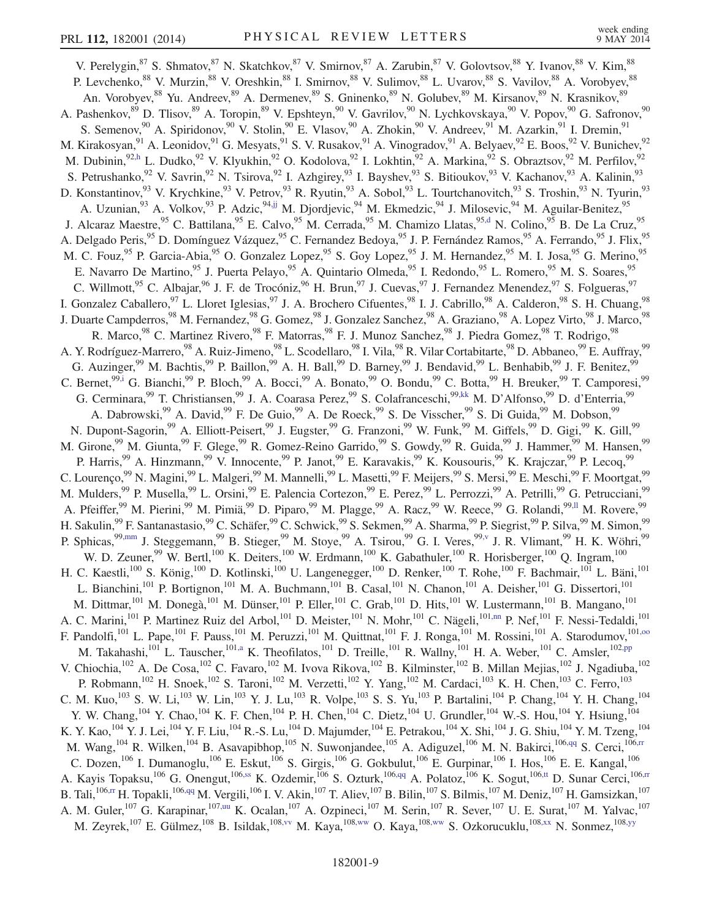V. Perelygin,<sup>87</sup> S. Shmatov,<sup>87</sup> N. Skatchkov,<sup>87</sup> V. Smirnov,<sup>87</sup> A. Zarubin,<sup>87</sup> V. Golovtsov,<sup>88</sup> Y. Ivanov,<sup>88</sup> V. Kim,<sup>88</sup> P. Levchenko, <sup>88</sup> V. Murzin, <sup>88</sup> V. Oreshkin, <sup>88</sup> I. Smirnov, <sup>88</sup> V. Sulimov, <sup>88</sup> L. Uvarov, <sup>88</sup> S. Vavilov, <sup>88</sup> A. Vorobyev, <sup>88</sup> An. Vorobyev, <sup>88</sup> Yu. Andreev, <sup>89</sup> A. Dermenev, <sup>89</sup> S. Gninenko, <sup>89</sup> N. Golubev, <sup>89</sup> M. Kirsanov, <sup>89</sup> N. Krasnikov, <sup>89</sup> A. Pashenkov, <sup>89</sup> D. Tlisov, <sup>89</sup> A. Toropin, <sup>89</sup> V. Epshteyn, <sup>90</sup> V. Gavrilov, <sup>90</sup> N. Lychkovskaya, <sup>90</sup> V. Popov, <sup>90</sup> G. Safronov, <sup>90</sup> S. Semenov,<sup>90</sup> A. Spiridonov,<sup>90</sup> V. Stolin,<sup>90</sup> E. Vlasov,<sup>90</sup> A. Zhokin,<sup>90</sup> V. Andreev,<sup>91</sup> M. Azarkin,<sup>91</sup> I. Dremin,<sup>91</sup> M. Kirakosyan,<sup>91</sup> A. Leonidov,<sup>91</sup> G. Mesyats,<sup>91</sup> S. V. Rusakov,<sup>91</sup> A. Vinogradov,<sup>91</sup> A. Belyaev,<sup>92</sup> E. Boos,<sup>92</sup> V. Bunichev,<sup>92</sup> M. Dubinin,<sup>92,h</sup> L. Dudko,<sup>92</sup> V. Klyukhin,<sup>92</sup> O. Kodolova,<sup>92</sup> I. Lokhtin,<sup>92</sup> A. Markina,<sup>92</sup> S. Obraztsov,<sup>92</sup> M. Perfilov,<sup>92</sup> S. Petrushanko,<sup>92</sup> V. Savrin,<sup>92</sup> N. Tsirova,<sup>92</sup> I. Azhgirey,<sup>93</sup> I. Bayshev,<sup>93</sup> S. Bitioukov,<sup>93</sup> V. Kachanov,<sup>93</sup> A. Kalinin,<sup>93</sup> D. Konstantinov,  $^{93}$  V. Krychkine,  $^{93}$  V. Petrov,  $^{93}$  R. Ryutin,  $^{93}$  A. Sobol,  $^{93}$  L. Tourtchanovitch,  $^{93}$  S. Troshin,  $^{93}$  N. Tyurin,  $^{93}$ A. Uzunian, <sup>93</sup> A. Volkov, <sup>93</sup> P. Adzic, <sup>94,jj</sup> M. Djordjevic, <sup>94</sup> M. Ekmedzic, <sup>94</sup> J. Milosevic, <sup>94</sup> M. Aguilar-Benitez, <sup>95</sup> J. Alcaraz Maestre, <sup>95</sup> C. Battilana, <sup>95</sup> E. Calvo, <sup>95</sup> M. Cerrada, <sup>95</sup> M. Chamizo Llatas, <sup>95,d</sup> N. Colino, <sup>95</sup> B. De La Cruz, <sup>95</sup> A. Delgado Peris,<sup>95</sup> D. Domínguez Vázquez,<sup>95</sup> C. Fernandez Bedoya,<sup>95</sup> J. P. Fernández Ramos,<sup>95</sup> A. Ferrando,<sup>95</sup> J. Flix,<sup>95</sup> M. C. Fouz,<sup>95</sup> P. Garcia-Abia,<sup>95</sup> O. Gonzalez Lopez,<sup>95</sup> S. Goy Lopez,<sup>95</sup> J. M. Hernandez,<sup>95</sup> M. I. Josa,<sup>95</sup> G. Merino,<sup>95</sup> E. Navarro De Martino, <sup>95</sup> J. Puerta Pelayo, <sup>95</sup> A. Quintario Olmeda, <sup>95</sup> I. Redondo, <sup>95</sup> L. Romero, <sup>95</sup> M. S. Soares, <sup>95</sup> C. Willmott,<sup>95</sup> C. Albajar,<sup>96</sup> J. F. de Trocóniz,<sup>96</sup> H. Brun,<sup>97</sup> J. Cuevas,<sup>97</sup> J. Fernandez Menendez,<sup>97</sup> S. Folgueras,<sup>97</sup> I. Gonzalez Caballero,<sup>97</sup> L. Lloret Iglesias,<sup>97</sup> J. A. Brochero Cifuentes,<sup>98</sup> I. J. Cabrillo,<sup>98</sup> A. Calderon,<sup>98</sup> S. H. Chuang,<sup>98</sup> J. Duarte Campderros,<sup>98</sup> M. Fernandez,<sup>98</sup> G. Gomez,<sup>98</sup> J. Gonzalez Sanchez,<sup>98</sup> A. Graziano,<sup>98</sup> A. Lopez Virto,<sup>98</sup> J. Marco,<sup>98</sup> R. Marco,<sup>98</sup> C. Martinez Rivero,<sup>98</sup> F. Matorras,<sup>98</sup> F. J. Munoz Sanchez,<sup>98</sup> J. Piedra Gomez,<sup>98</sup> T. Rodrigo,<sup>98</sup> A. Y. Rodríguez-Marrero,<sup>98</sup> A. Ruiz-Jimeno,<sup>98</sup> L. Scodellaro,<sup>98</sup> I. Vila,<sup>98</sup> R. Vilar Cortabitarte,<sup>98</sup> D. Abbaneo,<sup>99</sup> E. Auffray,<sup>99</sup> G. Auzinger,<sup>99</sup> M. Bachtis,<sup>99</sup> P. Baillon,<sup>99</sup> A. H. Ball,<sup>99</sup> D. Barney,<sup>99</sup> J. Bendavid,<sup>99</sup> L. Benhabib,<sup>99</sup> J. F. Benitez,<sup>99</sup> C. Bernet,<sup>99,i</sup> G. Bianchi,<sup>99</sup> P. Bloch,<sup>99</sup> A. Bocci,<sup>99</sup> A. Bonato,<sup>99</sup> O. Bondu,<sup>99</sup> C. Botta,<sup>99</sup> H. Breuker,<sup>99</sup> T. Camporesi,<sup>99</sup> G. Cerminara,<sup>99</sup> T. Christiansen,<sup>99</sup> J. A. Coarasa Perez,<sup>99</sup> S. Colafranceschi,<sup>99,kk</sup> M. D'Alfonso,<sup>99</sup> D. d'Enterria,<sup>99</sup> A. Dabrowski,<sup>99</sup> A. David,<sup>99</sup> F. De Guio,<sup>99</sup> A. De Roeck,<sup>99</sup> S. De Visscher,<sup>99</sup> S. Di Guida,<sup>99</sup> M. Dobson,<sup>99</sup> N. Dupont-Sagorin,<sup>99</sup> A. Elliott-Peisert,<sup>99</sup> J. Eugster,<sup>99</sup> G. Franzoni,<sup>99</sup> W. Funk,<sup>99</sup> M. Giffels,<sup>99</sup> D. Gigi,<sup>99</sup> K. Gill,<sup>99</sup> M. Girone,<sup>99</sup> M. Giunta,<sup>99</sup> F. Glege,<sup>99</sup> R. Gomez-Reino Garrido,<sup>99</sup> S. Gowdy,<sup>99</sup> R. Guida,<sup>99</sup> J. Hammer,<sup>99</sup> M. Hansen,<sup>99</sup> M. P. Harris,<sup>99</sup> A. Hinzmann,<sup>99</sup> V. Innocente,<sup>99</sup> P. Janot,<sup>99</sup> E. Karavakis,<sup>99</sup> K. Kousouris,<sup>99</sup> K. Krajczar,<sup>99</sup> P. Lecoq,<sup>99</sup> C. Lourenço,<sup>99</sup> N. Magini,<sup>99</sup> L. Malgeri,<sup>99</sup> M. Mannelli,<sup>99</sup> L. Masetti,<sup>99</sup> F. Meijers,<sup>99</sup> S. Mersi,<sup>99</sup> E. Meschi,<sup>99</sup> F. Moortgat,<sup>99</sup> M. Mulders, <sup>99</sup> P. Musella, <sup>99</sup> L. Orsini, <sup>99</sup> E. Palencia Cortezon, <sup>99</sup> E. Perez, <sup>99</sup> L. Perrozzi, <sup>99</sup> A. Petrilli, <sup>99</sup> G. Petrucciani, <sup>99</sup> A. Pfeiffer,<sup>99</sup> M. Pierini,<sup>99</sup> M. Pimiä,<sup>99</sup> D. Piparo,<sup>99</sup> M. Plagge,<sup>99</sup> A. Racz,<sup>99</sup> W. Reece,<sup>99</sup> G. Rolandi,<sup>99, Il</sup> M. Rovere,<sup>99</sup> H. Sakulin,<sup>99</sup> F. Santanastasio,<sup>99</sup> C. Schäfer,<sup>99</sup> C. Schwick,<sup>99</sup> S. Sekmen,<sup>99</sup> A. Sharma,<sup>99</sup> P. Siegrist,<sup>99</sup> P. Silva,<sup>99</sup> M. Simon,<sup>99</sup> P. Sphicas,<sup>99,mm</sup> J. Steggemann,<sup>99</sup> B. Stieger,<sup>99</sup> M. Stoye,<sup>99</sup> A. Tsirou,<sup>99</sup> G. I. Veres,<sup>99,v</sup> J. R. Vlimant,<sup>99</sup> H. K. Wöhri,<sup>99</sup> W. D. Zeuner,<sup>99</sup> W. Bertl,<sup>100</sup> K. Deiters,<sup>100</sup> W. Erdmann,<sup>100</sup> K. Gabathuler,<sup>100</sup> R. Horisberger,<sup>100</sup> Q. Ingram,<sup>100</sup> H. C. Kaestli,<sup>100</sup> S. König,<sup>100</sup> D. Kotlinski,<sup>100</sup> U. Langenegger,<sup>100</sup> D. Renker,<sup>100</sup> T. Rohe,<sup>100</sup> F. Bachmair,<sup>101</sup> L. Bäni,<sup>101</sup> L. Bianchini,<sup>101</sup> P. Bortignon,<sup>101</sup> M. A. Buchmann,<sup>101</sup> B. Casal,<sup>101</sup> N. Chanon,<sup>101</sup> A. Deisher,<sup>101</sup> G. Dissertori,<sup>101</sup> M. Dittmar,<sup>101</sup> M. Donegà,<sup>101</sup> M. Dünser,<sup>101</sup> P. Eller,<sup>101</sup> C. Grab,<sup>101</sup> D. Hits,<sup>101</sup> W. Lustermann,<sup>101</sup> B. Mangano,<sup>101</sup> A. C. Marini,<sup>101</sup> P. Martinez Ruiz del Arbol,<sup>101</sup> D. Meister,<sup>101</sup> N. Mohr,<sup>101</sup> C. Nägeli,<sup>101,nn</sup> P. Nef,<sup>101</sup> F. Nessi-Tedaldi,<sup>101</sup> F. Pandolfi,<sup>101</sup> L. Pape,<sup>101</sup> F. Pauss,<sup>101</sup> M. Peruzzi,<sup>101</sup> M. Quittnat,<sup>101</sup> F. J. Ronga,<sup>101</sup> M. Rossini,<sup>101</sup> A. Starodumov,<sup>101,00</sup> M. Takahashi,<sup>101</sup> L. Tauscher,<sup>101,a</sup> K. Theofilatos,<sup>101</sup> D. Treille,<sup>101</sup> R. Wallny,<sup>101</sup> H. A. Weber,<sup>101</sup> C. Amsler,<sup>102,pp</sup> V. Chiochia,  $^{102}$  A. De Cosa,  $^{102}$  C. Favaro,  $^{102}$  M. Ivova Rikova,  $^{102}$  B. Kilminster,  $^{102}$  B. Millan Mejias,  $^{102}$  J. Ngadiuba,  $^{102}$ P. Robmann,<sup>102</sup> H. Snoek,<sup>102</sup> S. Taroni,<sup>102</sup> M. Verzetti,<sup>102</sup> Y. Yang,<sup>102</sup> M. Cardaci,<sup>103</sup> K. H. Chen,<sup>103</sup> C. Ferro,<sup>103</sup> C. M. Kuo,<sup>103</sup> S. W. Li,<sup>103</sup> W. Lin,<sup>103</sup> Y. J. Lu,<sup>103</sup> R. Volpe,<sup>103</sup> S. S. Yu,<sup>103</sup> P. Bartalini,<sup>104</sup> P. Chang,<sup>104</sup> Y. H. Chang,<sup>104</sup> Y. W. Chang,<sup>104</sup> Y. Chao,<sup>104</sup> K. F. Chen,<sup>104</sup> P. H. Chen,<sup>104</sup> C. Dietz,<sup>104</sup> U. Grundler,<sup>104</sup> W.-S. Hou,<sup>104</sup> Y. Hsiung,<sup>104</sup> K. Y. Kao,<sup>104</sup> Y. J. Lei,<sup>104</sup> Y. F. Liu,<sup>104</sup> R.-S. Lu,<sup>104</sup> D. Majumder,<sup>104</sup> E. Petrakou,<sup>104</sup> X. Shi,<sup>104</sup> J. G. Shiu,<sup>104</sup> Y. M. Tzeng,<sup>104</sup> M. Wang,<sup>104</sup> R. Wilken,<sup>104</sup> B. Asavapibhop,<sup>105</sup> N. Suwonjandee,<sup>105</sup> A. Adiguzel,<sup>106</sup> M. N. Bakirci,<sup>106,qq</sup> S. Cerci,<sup>106,rr</sup> C. Dozen,<sup>106</sup> I. Dumanoglu,<sup>106</sup> E. Eskut,<sup>106</sup> S. Girgis,<sup>106</sup> G. Gokbulut,<sup>106</sup> E. Gurpinar,<sup>106</sup> I. Hos,<sup>106</sup> E. E. Kangal,<sup>106</sup> A. Kayis Topaksu,<sup>106</sup> G. Onengut,<sup>106,ss</sup> K. Ozdemir,<sup>106</sup> S. Ozturk,<sup>106,qq</sup> A. Polatoz,<sup>106</sup> K. Sogut,<sup>106,tt</sup> D. Sunar Cerci,<sup>106,rr</sup> B. Tali, $^{106,\text{rr}}$  H. Topakli, $^{106,\text{qq}}$  M. Vergili, $^{106}$  I. V. Akin, $^{107}$  T. Aliev, $^{107}$  B. Bilin, $^{107}$  S. Bilmis, $^{107}$  M. Deniz, $^{107}$  H. Gamsizkan, $^{107}$ A. M. Guler,<sup>107</sup> G. Karapinar,<sup>107,uu</sup> K. Ocalan,<sup>107</sup> A. Ozpineci,<sup>107</sup> M. Serin,<sup>107</sup> R. Sever,<sup>107</sup> U. E. Surat,<sup>107</sup> M. Yalvac,<sup>107</sup> M. Zeyrek,<sup>107</sup> E. Gülmez,<sup>108</sup> B. Isildak,<sup>108,vv</sup> M. Kaya,<sup>108,ww</sup> O. Kaya,<sup>108,ww</sup> S. Ozkorucuklu,<sup>108,xx</sup> N. Sonmez,<sup>108,yy</sup>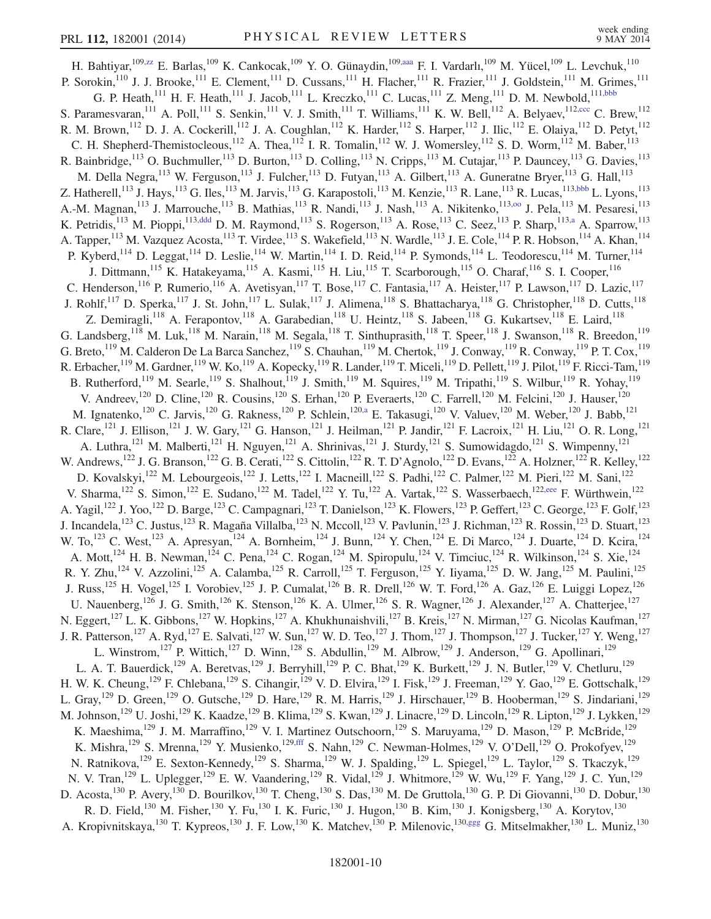H. Bahtiyar,<sup>109,zz</sup> E. Barlas,<sup>109</sup> K. Cankocak,<sup>109</sup> Y. O. Günaydin,<sup>109,aaa</sup> F. I. Vardarlı,<sup>109</sup> M. Yücel,<sup>109</sup> L. Levchuk,<sup>110</sup> P. Sorokin,<sup>110</sup> J. J. Brooke,<sup>111</sup> E. Clement,<sup>111</sup> D. Cussans,<sup>111</sup> H. Flacher,<sup>111</sup> R. Frazier,<sup>111</sup> J. Goldstein,<sup>111</sup> M. Grimes,<sup>111</sup> G. P. Heath,<sup>111</sup> H. F. Heath,<sup>111</sup> J. Jacob,<sup>111</sup> L. Kreczko,<sup>111</sup> C. Lucas,<sup>111</sup> Z. Meng,<sup>111</sup> D. M. Newbold,<sup>111,bbb</sup> S. Paramesvaran, <sup>111</sup> A. Poll, <sup>111</sup> S. Senkin, <sup>111</sup> V. J. Smith, <sup>111</sup> T. Williams, <sup>111</sup> K. W. Bell, <sup>112</sup> A. Belyaev, <sup>112, ccc</sup> C. Brew, <sup>112</sup> R. M. Brown,<sup>112</sup> D. J. A. Cockerill,<sup>112</sup> J. A. Coughlan,<sup>112</sup> K. Harder,<sup>112</sup> S. Harper,<sup>112</sup> J. Ilic,<sup>112</sup> E. Olaiya,<sup>112</sup> D. Petyt,<sup>112</sup> C. H. Shepherd-Themistocleous,<sup>112</sup> A. Thea,<sup>112</sup> I. R. Tomalin,<sup>112</sup> W. J. Womersley,<sup>112</sup> S. D. Worm,<sup>112</sup> M. Baber,<sup>113</sup> R. Bainbridge,<sup>113</sup> O. Buchmuller,<sup>113</sup> D. Burton,<sup>113</sup> D. Colling,<sup>113</sup> N. Cripps,<sup>113</sup> M. Cutajar,<sup>113</sup> P. Dauncey,<sup>113</sup> G. Davies,<sup>113</sup> M. Della Negra,<sup>113</sup> W. Ferguson,<sup>113</sup> J. Fulcher,<sup>113</sup> D. Futyan,<sup>113</sup> A. Gilbert,<sup>113</sup> A. Guneratne Bryer,<sup>113</sup> G. Hall,<sup>113</sup> Z. Hatherell,<sup>113</sup> J. Hays,<sup>113</sup> G. Iles,<sup>113</sup> M. Jarvis,<sup>113</sup> G. Karapostoli,<sup>113</sup> M. Kenzie,<sup>113</sup> R. Lane,<sup>113</sup> R. Lucas,<sup>113,bbb</sup> L. Lyons,<sup>113</sup> A.-M. Magnan,<sup>113</sup> J. Marrouche,<sup>113</sup> B. Mathias,<sup>113</sup> R. Nandi,<sup>113</sup> J. Nash,<sup>113</sup> A. Nikitenko,<sup>113,00</sup> J. Pela,<sup>113</sup> M. Pesaresi,<sup>113</sup> K. Petridis,<sup>113</sup> M. Pioppi,<sup>113,ddd</sup> D. M. Raymond,<sup>113</sup> S. Rogerson,<sup>113</sup> A. Rose,<sup>113</sup> C. Seez,<sup>113</sup> P. Sharp,<sup>113,a</sup> A. Sparrow,<sup>113</sup> A. Tapper,<sup>113</sup> M. Vazquez Acosta,<sup>113</sup> T. Virdee,<sup>113</sup> S. Wakefield,<sup>113</sup> N. Wardle,<sup>113</sup> J. E. Cole,<sup>114</sup> P. R. Hobson,<sup>114</sup> A. Khan,<sup>114</sup> P. Kyberd,<sup>114</sup> D. Leggat,<sup>114</sup> D. Leslie,<sup>114</sup> W. Martin,<sup>114</sup> I. D. Reid,<sup>114</sup> P. Symonds,<sup>114</sup> L. Teodorescu,<sup>114</sup> M. Turner,<sup>114</sup> J. Dittmann,<sup>115</sup> K. Hatakeyama,<sup>115</sup> A. Kasmi,<sup>115</sup> H. Liu,<sup>115</sup> T. Scarborough,<sup>115</sup> O. Charaf,<sup>116</sup> S. I. Cooper,<sup>116</sup> C. Henderson,<sup>116</sup> P. Rumerio,<sup>116</sup> A. Avetisyan,<sup>117</sup> T. Bose,<sup>117</sup> C. Fantasia,<sup>117</sup> A. Heister,<sup>117</sup> P. Lawson,<sup>117</sup> D. Lazic,<sup>117</sup> J. Rohlf,<sup>117</sup> D. Sperka,<sup>117</sup> J. St. John,<sup>117</sup> L. Sulak,<sup>117</sup> J. Alimena,<sup>118</sup> S. Bhattacharya,<sup>118</sup> G. Christopher,<sup>118</sup> D. Cutts,<sup>118</sup> Z. Demiragli,<sup>118</sup> A. Ferapontov,<sup>118</sup> A. Garabedian,<sup>118</sup> U. Heintz,<sup>118</sup> S. Jabeen,<sup>118</sup> G. Kukartsev,<sup>118</sup> E. Laird,<sup>118</sup> G. Landsberg,  $^{118}$  M. Luk,  $^{118}$  M. Narain,  $^{118}$  M. Segala,  $^{118}$  T. Sinthuprasith,  $^{118}$  T. Speer,  $^{118}$  J. Swanson,  $^{118}$  R. Breedon,  $^{119}$ G. Breto,  $^{119}$  M. Calderon De La Barca Sanchez,  $^{119}$  S. Chauhan,  $^{119}$  M. Chertok,  $^{119}$  J. Conway,  $^{119}$  R. Conway,  $^{119}$  P. T. Cox,  $^{119}$ R. Erbacher,  $^{119}$  M. Gardner,  $^{119}$  W. Ko,  $^{119}$  A. Kopecky,  $^{119}$  R. Lander,  $^{119}$  T. Miceli,  $^{119}$  D. Pellett,  $^{119}$  J. Pilot,  $^{119}$  F. Ricci-Tam,  $^{119}$ B. Rutherford,<sup>119</sup> M. Searle,<sup>119</sup> S. Shalhout,<sup>119</sup> J. Smith,<sup>119</sup> M. Squires,<sup>119</sup> M. Tripathi,<sup>119</sup> S. Wilbur,<sup>119</sup> R. Yohay,<sup>119</sup> V. Andreev,<sup>120</sup> D. Cline,<sup>120</sup> R. Cousins,<sup>120</sup> S. Erhan,<sup>120</sup> P. Everaerts,<sup>120</sup> C. Farrell,<sup>120</sup> M. Felcini,<sup>120</sup> J. Hauser,<sup>120</sup> M. Ignatenko,<sup>120</sup> C. Jarvis,<sup>120</sup> G. Rakness,<sup>120</sup> P. Schlein,<sup>120,a</sup> E. Takasugi,<sup>120</sup> V. Valuev,<sup>120</sup> M. Weber,<sup>120</sup> J. Babb,<sup>121</sup> R. Clare,<sup>121</sup> J. Ellison,<sup>121</sup> J. W. Gary,<sup>121</sup> G. Hanson,<sup>121</sup> J. Heilman,<sup>121</sup> P. Jandir,<sup>121</sup> F. Lacroix,<sup>121</sup> H. Liu,<sup>121</sup> O. R. Long,<sup>121</sup> A. Luthra,<sup>121</sup> M. Malberti,<sup>121</sup> H. Nguyen,<sup>121</sup> A. Shrinivas,<sup>121</sup> J. Sturdy,<sup>121</sup> S. Sumowidagdo,<sup>121</sup> S. Wimpenny,<sup>121</sup> W. Andrews,<sup>122</sup> J. G. Branson,<sup>122</sup> G. B. Cerati,<sup>122</sup> S. Cittolin,<sup>122</sup> R. T. D'Agnolo,<sup>122</sup> D. Evans,<sup>122</sup> A. Holzner,<sup>122</sup> R. Kelley,<sup>122</sup> D. Kovalskyi,<sup>122</sup> M. Lebourgeois,<sup>122</sup> J. Letts,<sup>122</sup> I. Macneill,<sup>122</sup> S. Padhi,<sup>122</sup> C. Palmer,<sup>122</sup> M. Pieri,<sup>122</sup> M. Sani,<sup>122</sup> V. Sharma,<sup>122</sup> S. Simon,<sup>122</sup> E. Sudano,<sup>122</sup> M. Tadel,<sup>122</sup> Y. Tu,<sup>122</sup> A. Vartak,<sup>122</sup> S. Wasserbaech,<sup>122,eee</sup> F. Würthwein,<sup>122</sup> A. Yagil,<sup>122</sup> J. Yoo,<sup>122</sup> D. Barge,<sup>123</sup> C. Campagnari,<sup>123</sup> T. Danielson,<sup>123</sup> K. Flowers,<sup>123</sup> P. Geffert,<sup>123</sup> C. George,<sup>123</sup> F. Golf,<sup>123</sup> J. Incandela,<sup>123</sup> C. Justus,<sup>123</sup> R. Magaña Villalba,<sup>123</sup> N. Mccoll,<sup>123</sup> V. Pavlunin,<sup>123</sup> J. Richman,<sup>123</sup> R. Rossin,<sup>123</sup> D. Stuart,<sup>123</sup> W. To,<sup>123</sup> C. West,<sup>123</sup> A. Apresyan,<sup>124</sup> A. Bornheim,<sup>124</sup> J. Bunn,<sup>124</sup> Y. Chen,<sup>124</sup> E. Di Marco,<sup>124</sup> J. Duarte,<sup>124</sup> D. Kcira,<sup>124</sup> A. Mott,<sup>124</sup> H. B. Newman,<sup>124</sup> C. Pena,<sup>124</sup> C. Rogan,<sup>124</sup> M. Spiropulu,<sup>124</sup> V. Timciuc,<sup>124</sup> R. Wilkinson,<sup>124</sup> S. Xie,<sup>124</sup> R. Y. Zhu,<sup>124</sup> V. Azzolini,<sup>125</sup> A. Calamba,<sup>125</sup> R. Carroll,<sup>125</sup> T. Ferguson,<sup>125</sup> Y. Iiyama,<sup>125</sup> D. W. Jang,<sup>125</sup> M. Paulini,<sup>125</sup> J. Russ,<sup>125</sup> H. Vogel,<sup>125</sup> I. Vorobiev,<sup>125</sup> J. P. Cumalat,<sup>126</sup> B. R. Drell,<sup>126</sup> W. T. Ford,<sup>126</sup> A. Gaz,<sup>126</sup> E. Luiggi Lopez,<sup>126</sup> U. Nauenberg,<sup>126</sup> J. G. Smith,<sup>126</sup> K. Stenson,<sup>126</sup> K. A. Ulmer,<sup>126</sup> S. R. Wagner,<sup>126</sup> J. Alexander,<sup>127</sup> A. Chatterjee,<sup>127</sup> N. Eggert,<sup>127</sup> L. K. Gibbons,<sup>127</sup> W. Hopkins,<sup>127</sup> A. Khukhunaishvili,<sup>127</sup> B. Kreis,<sup>127</sup> N. Mirman,<sup>127</sup> G. Nicolas Kaufman,<sup>127</sup> J. R. Patterson,<sup>127</sup> A. Ryd,<sup>127</sup> E. Salvati,<sup>127</sup> W. Sun,<sup>127</sup> W. D. Teo,<sup>127</sup> J. Thom,<sup>127</sup> J. Thompson,<sup>127</sup> J. Tucker,<sup>127</sup> Y. Weng,<sup>127</sup> L. Winstrom,<sup>127</sup> P. Wittich,<sup>127</sup> D. Winn,<sup>128</sup> S. Abdullin,<sup>129</sup> M. Albrow,<sup>129</sup> J. Anderson,<sup>129</sup> G. Apollinari,<sup>129</sup> L. A. T. Bauerdick,<sup>129</sup> A. Beretvas,<sup>129</sup> J. Berryhill,<sup>129</sup> P. C. Bhat,<sup>129</sup> K. Burkett,<sup>129</sup> J. N. Butler,<sup>129</sup> V. Chetluru,<sup>129</sup> H. W. K. Cheung,<sup>129</sup> F. Chlebana,<sup>129</sup> S. Cihangir,<sup>129</sup> V. D. Elvira,<sup>129</sup> I. Fisk,<sup>129</sup> J. Freeman,<sup>129</sup> Y. Gao,<sup>129</sup> E. Gottschalk,<sup>129</sup> L. Gray,<sup>129</sup> D. Green,<sup>129</sup> O. Gutsche,<sup>129</sup> D. Hare,<sup>129</sup> R. M. Harris,<sup>129</sup> J. Hirschauer,<sup>129</sup> B. Hooberman,<sup>129</sup> S. Jindariani,<sup>129</sup> M. Johnson,<sup>129</sup> U. Joshi,<sup>129</sup> K. Kaadze,<sup>129</sup> B. Klima,<sup>129</sup> S. Kwan,<sup>129</sup> J. Linacre,<sup>129</sup> D. Lincoln,<sup>129</sup> R. Lipton,<sup>129</sup> J. Lykken,<sup>129</sup> K. Maeshima,<sup>129</sup> J. M. Marraffino,<sup>129</sup> V. I. Martinez Outschoorn,<sup>129</sup> S. Maruyama,<sup>129</sup> D. Mason,<sup>129</sup> P. McBride,<sup>129</sup> K. Mishra,<sup>129</sup> S. Mrenna,<sup>129</sup> Y. Musienko,<sup>129,fff</sup> S. Nahn,<sup>129</sup> C. Newman-Holmes,<sup>129</sup> V. O'Dell,<sup>129</sup> O. Prokofyev,<sup>129</sup> N. Ratnikova,  $^{129}$  E. Sexton-Kennedy,  $^{129}$  S. Sharma,  $^{129}$  W. J. Spalding,  $^{129}$  L. Spiegel,  $^{129}$  L. Taylor,  $^{129}$  S. Tkaczyk,  $^{129}$ N. V. Tran,<sup>129</sup> L. Uplegger,<sup>129</sup> E. W. Vaandering,<sup>129</sup> R. Vidal,<sup>129</sup> J. Whitmore,<sup>129</sup> W. Wu,<sup>129</sup> F. Yang,<sup>129</sup> J. C. Yun,<sup>129</sup> D. Acosta,<sup>130</sup> P. Avery,<sup>130</sup> D. Bourilkov,<sup>130</sup> T. Cheng,<sup>130</sup> S. Das,<sup>130</sup> M. De Gruttola,<sup>130</sup> G. P. Di Giovanni,<sup>130</sup> D. Dobur,<sup>130</sup> R. D. Field,<sup>130</sup> M. Fisher,<sup>130</sup> Y. Fu,<sup>130</sup> I. K. Furic,<sup>130</sup> J. Hugon,<sup>130</sup> B. Kim,<sup>130</sup> J. Konigsberg,<sup>130</sup> A. Korytov,<sup>130</sup> A. Kropivnitskaya, <sup>130</sup> T. Kypreos, <sup>130</sup> J. F. Low, <sup>130</sup> K. Matchev, <sup>130</sup> P. Milenovic, <sup>130,ggg</sup> G. Mitselmakher, <sup>130</sup> L. Muniz, <sup>130</sup>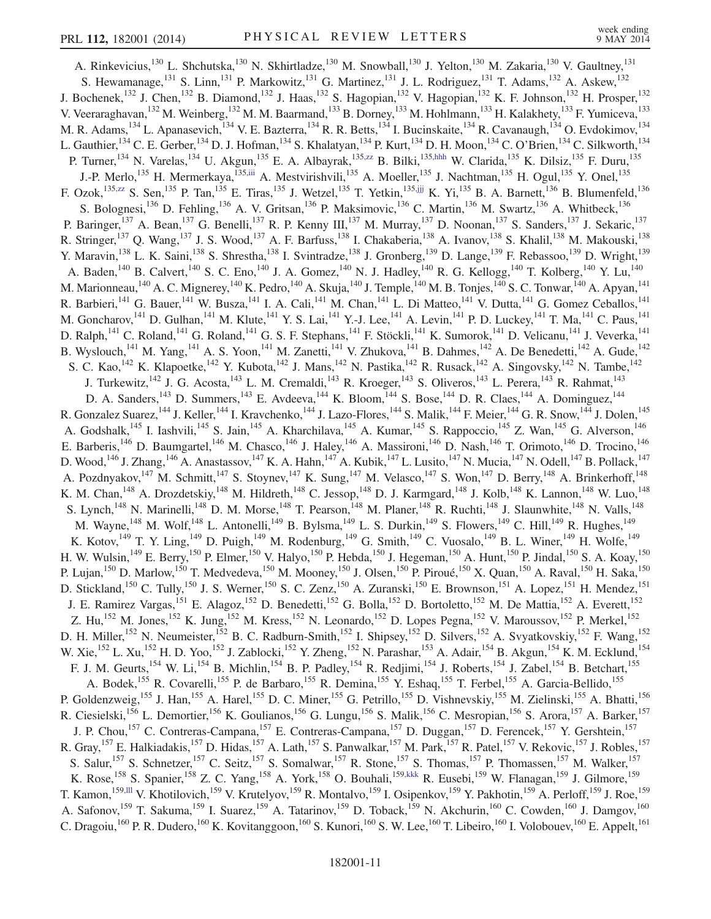A. Rinkevicius,<sup>130</sup> L. Shchutska,<sup>130</sup> N. Skhirtladze,<sup>130</sup> M. Snowball,<sup>130</sup> J. Yelton,<sup>130</sup> M. Zakaria,<sup>130</sup> V. Gaultney,<sup>131</sup> S. Hewamanage,<sup>131</sup> S. Linn,<sup>131</sup> P. Markowitz,<sup>131</sup> G. Martinez,<sup>131</sup> J. L. Rodriguez,<sup>131</sup> T. Adams,<sup>132</sup> A. Askew,<sup>132</sup> J. Bochenek,<sup>132</sup> J. Chen,<sup>132</sup> B. Diamond,<sup>132</sup> J. Haas,<sup>132</sup> S. Hagopian,<sup>132</sup> V. Hagopian,<sup>132</sup> K. F. Johnson,<sup>132</sup> H. Prosper,<sup>132</sup> V. Veeraraghavan,<sup>132</sup> M. Weinberg,<sup>132</sup> M. M. Baarmand,<sup>133</sup> B. Dorney,<sup>133</sup> M. Hohlmann,<sup>133</sup> H. Kalakhety,<sup>133</sup> F. Yumiceva,<sup>133</sup> M. R. Adams, <sup>134</sup> L. Apanasevich, <sup>134</sup> V. E. Bazterra, <sup>134</sup> R. R. Betts, <sup>134</sup> I. Bucinskaite, <sup>134</sup> R. Cavanaugh, <sup>134</sup> O. Evdokimov, <sup>134</sup> L. Gauthier, <sup>134</sup> C. E. Gerber, <sup>134</sup> D. J. Hofman, <sup>134</sup> S. Khalatyan, <sup>134</sup> P. Kurt, <sup>134</sup> D. H. Moon, <sup>134</sup> C. O'Brien, <sup>134</sup> C. Silkworth, <sup>134</sup> P. Turner,<sup>134</sup> N. Varelas,<sup>134</sup> U. Akgun,<sup>135</sup> E. A. Albayrak,<sup>135,zz</sup> B. Bilki,<sup>135,hhh</sup> W. Clarida,<sup>135</sup> K. Dilsiz,<sup>135</sup> F. Duru,<sup>135</sup> J.-P. Merlo,<sup>135</sup> H. Mermerkaya,<sup>135,iii</sup> A. Mestvirishvili,<sup>135</sup> A. Moeller,<sup>135</sup> J. Nachtman,<sup>135</sup> H. Ogul,<sup>135</sup> Y. Onel,<sup>135</sup> F. Ozok,<sup>135,zz</sup> S. Sen,<sup>135</sup> P. Tan,<sup>135</sup> E. Tiras,<sup>135</sup> J. Wetzel,<sup>135</sup> T. Yetkin,<sup>135,jjj</sup> K. Yi,<sup>135</sup> B. A. Barnett,<sup>136</sup> B. Blumenfeld,<sup>136</sup> S. Bolognesi,<sup>136</sup> D. Fehling,<sup>136</sup> A. V. Gritsan,<sup>136</sup> P. Maksimovic,<sup>136</sup> C. Martin,<sup>136</sup> M. Swartz,<sup>136</sup> A. Whitbeck,<sup>136</sup> P. Baringer,<sup>137</sup> A. Bean,<sup>137</sup> G. Benelli,<sup>137</sup> R. P. Kenny III,<sup>137</sup> M. Murray,<sup>137</sup> D. Noonan,<sup>137</sup> S. Sanders,<sup>137</sup> J. Sekaric,<sup>137</sup> R. Stringer,<sup>137</sup> Q. Wang,<sup>137</sup> J. S. Wood,<sup>137</sup> A. F. Barfuss,<sup>138</sup> I. Chakaberia,<sup>138</sup> A. Ivanov,<sup>138</sup> S. Khalil,<sup>138</sup> M. Makouski,<sup>138</sup> Y. Maravin,<sup>138</sup> L. K. Saini,<sup>138</sup> S. Shrestha,<sup>138</sup> I. Svintradze,<sup>138</sup> J. Gronberg,<sup>139</sup> D. Lange,<sup>139</sup> F. Rebassoo,<sup>139</sup> D. Wright,<sup>139</sup> A. Baden,<sup>140</sup> B. Calvert,<sup>140</sup> S. C. Eno,<sup>140</sup> J. A. Gomez,<sup>140</sup> N. J. Hadley,<sup>140</sup> R. G. Kellogg,<sup>140</sup> T. Kolberg,<sup>140</sup> Y. Lu,<sup>140</sup> M. Marionneau,<sup>140</sup> A. C. Mignerey,<sup>140</sup> K. Pedro,<sup>140</sup> A. Skuja,<sup>140</sup> J. Temple,<sup>140</sup> M. B. Tonjes,<sup>140</sup> S. C. Tonwar,<sup>140</sup> A. Apyan,<sup>141</sup> R. Barbieri,<sup>141</sup> G. Bauer,<sup>141</sup> W. Busza,<sup>141</sup> I. A. Cali,<sup>141</sup> M. Chan,<sup>141</sup> L. Di Matteo,<sup>141</sup> V. Dutta,<sup>141</sup> G. Gomez Ceballos,<sup>141</sup> M. Goncharov,<sup>141</sup> D. Gulhan,<sup>141</sup> M. Klute,<sup>141</sup> Y. S. Lai,<sup>141</sup> Y.-J. Lee,<sup>141</sup> A. Levin,<sup>141</sup> P. D. Luckey,<sup>141</sup> T. Ma,<sup>141</sup> C. Paus,<sup>141</sup> D. Ralph,<sup>141</sup> C. Roland,<sup>141</sup> G. Roland,<sup>141</sup> G. S. F. Stephans,<sup>141</sup> F. Stöckli,<sup>141</sup> K. Sumorok,<sup>141</sup> D. Velicanu,<sup>141</sup> J. Veverka,<sup>141</sup> B. Wyslouch,<sup>141</sup> M. Yang,<sup>141</sup> A. S. Yoon,<sup>141</sup> M. Zanetti,<sup>141</sup> V. Zhukova,<sup>141</sup> B. Dahmes,<sup>142</sup> A. De Benedetti,<sup>142</sup> A. Gude,<sup>142</sup> S. C. Kao,<sup>142</sup> K. Klapoetke,<sup>142</sup> Y. Kubota,<sup>142</sup> J. Mans,<sup>142</sup> N. Pastika,<sup>142</sup> R. Rusack,<sup>142</sup> A. Singovsky,<sup>142</sup> N. Tambe,<sup>142</sup> I. J. Turkewitz,<sup>142</sup> J. G. Acosta,<sup>143</sup> L. M. Cremaldi,<sup>143</sup> R. Kroeger,<sup>143</sup> S. Oliveros,<sup>143</sup> L. Perera,<sup>143</sup> R. Rahmat,<sup>143</sup> D. A. Sanders,<sup>143</sup> D. Summers,<sup>143</sup> E. Avdeeva,<sup>144</sup> K. Bloom,<sup>144</sup> S. Bose,<sup>144</sup> D. R. Claes,<sup>144</sup> A. Dominguez,<sup>144</sup> R. Gonzalez Suarez,<sup>144</sup> J. Keller,<sup>144</sup> I. Kravchenko,<sup>144</sup> J. Lazo-Flores,<sup>144</sup> S. Malik,<sup>144</sup> F. Meier,<sup>144</sup> G. R. Snow,<sup>144</sup> J. Dolen,<sup>145</sup> A. Godshalk,<sup>145</sup> I. Iashvili,<sup>145</sup> S. Jain,<sup>145</sup> A. Kharchilava,<sup>145</sup> A. Kumar,<sup>145</sup> S. Rappoccio,<sup>145</sup> Z. Wan,<sup>145</sup> G. Alverson,<sup>146</sup> E. Barberis,<sup>146</sup> D. Baumgartel,<sup>146</sup> M. Chasco,<sup>146</sup> J. Haley,<sup>146</sup> A. Massironi,<sup>146</sup> D. Nash,<sup>146</sup> T. Orimoto,<sup>146</sup> D. Trocino,<sup>146</sup> D. Wood,  $^{146}$  J. Zhang,  $^{146}$  A. Anastassov,  $^{147}$  K. A. Hahn,  $^{147}$  A. Kubik,  $^{147}$  L. Lusito,  $^{147}$  N. Mucia,  $^{147}$  N. Odell,  $^{147}$  B. Pollack,  $^{147}$ A. Pozdnyakov,<sup>147</sup> M. Schmitt,<sup>147</sup> S. Stoynev,<sup>147</sup> K. Sung,<sup>147</sup> M. Velasco,<sup>147</sup> S. Won,<sup>147</sup> D. Berry,<sup>148</sup> A. Brinkerhoff,<sup>148</sup> K. M. Chan,<sup>148</sup> A. Drozdetskiy,<sup>148</sup> M. Hildreth,<sup>148</sup> C. Jessop,<sup>148</sup> D. J. Karmgard,<sup>148</sup> J. Kolb,<sup>148</sup> K. Lannon,<sup>148</sup> W. Luo,<sup>148</sup> S. Lynch,<sup>148</sup> N. Marinelli,<sup>148</sup> D. M. Morse,<sup>148</sup> T. Pearson,<sup>148</sup> M. Planer,<sup>148</sup> R. Ruchti,<sup>148</sup> J. Slaunwhite,<sup>148</sup> N. Valls,<sup>148</sup> M. Wayne,<sup>148</sup> M. Wolf,<sup>148</sup> L. Antonelli,<sup>149</sup> B. Bylsma,<sup>149</sup> L. S. Durkin,<sup>149</sup> S. Flowers,<sup>149</sup> C. Hill,<sup>149</sup> R. Hughes,<sup>149</sup> K. Kotov,<sup>149</sup> T. Y. Ling,<sup>149</sup> D. Puigh,<sup>149</sup> M. Rodenburg,<sup>149</sup> G. Smith,<sup>149</sup> C. Vuosalo,<sup>149</sup> B. L. Winer,<sup>149</sup> H. Wolfe,<sup>149</sup> H. W. Wulsin,<sup>149</sup> E. Berry,<sup>150</sup> P. Elmer,<sup>150</sup> V. Halyo,<sup>150</sup> P. Hebda,<sup>150</sup> J. Hegeman,<sup>150</sup> A. Hunt,<sup>150</sup> P. Jindal,<sup>150</sup> S. A. Koay,<sup>150</sup> P. Lujan,<sup>150</sup> D. Marlow,<sup>150</sup> T. Medvedeva,<sup>150</sup> M. Mooney,<sup>150</sup> J. Olsen,<sup>150</sup> P. Piroué,<sup>150</sup> X. Quan,<sup>150</sup> A. Raval,<sup>150</sup> H. Saka,<sup>150</sup> D. Stickland,<sup>150</sup> C. Tully,<sup>150</sup> J. S. Werner,<sup>150</sup> S. C. Zenz,<sup>150</sup> A. Zuranski,<sup>150</sup> E. Brownson,<sup>151</sup> A. Lopez,<sup>151</sup> H. Mendez,<sup>151</sup> J. E. Ramirez Vargas,<sup>151</sup> E. Alagoz,<sup>152</sup> D. Benedetti,<sup>152</sup> G. Bolla,<sup>152</sup> D. Bortoletto,<sup>152</sup> M. De Mattia,<sup>152</sup> A. Everett,<sup>152</sup> Z. Hu,<sup>152</sup> M. Jones,<sup>152</sup> K. Jung,<sup>152</sup> M. Kress,<sup>152</sup> N. Leonardo,<sup>152</sup> D. Lopes Pegna,<sup>152</sup> V. Maroussov,<sup>152</sup> P. Merkel,<sup>152</sup> D. H. Miller,<sup>152</sup> N. Neumeister,<sup>152</sup> B. C. Radburn-Smith,<sup>152</sup> I. Shipsey,<sup>152</sup> D. Silvers,<sup>152</sup> A. Svyatkovskiy,<sup>152</sup> F. Wang,<sup>152</sup> W. Xie, <sup>152</sup> L. Xu, <sup>152</sup> H. D. Yoo, <sup>152</sup> J. Zablocki, <sup>152</sup> Y. Zheng, <sup>152</sup> N. Parashar, <sup>153</sup> A. Adair, <sup>154</sup> B. Akgun, <sup>154</sup> K. M. Ecklund, <sup>154</sup> F. J. M. Geurts,<sup>154</sup> W. Li,<sup>154</sup> B. Michlin,<sup>154</sup> B. P. Padley,<sup>154</sup> R. Redjimi,<sup>154</sup> J. Roberts,<sup>154</sup> J. Zabel,<sup>154</sup> B. Betchart,<sup>155</sup> A. Bodek,<sup>155</sup> R. Covarelli,<sup>155</sup> P. de Barbaro,<sup>155</sup> R. Demina,<sup>155</sup> Y. Eshaq,<sup>155</sup> T. Ferbel,<sup>155</sup> A. Garcia-Bellido,<sup>155</sup> P. Goldenzweig,<sup>155</sup> J. Han,<sup>155</sup> A. Harel,<sup>155</sup> D. C. Miner,<sup>155</sup> G. Petrillo,<sup>155</sup> D. Vishnevskiy,<sup>155</sup> M. Zielinski,<sup>155</sup> A. Bhatti,<sup>156</sup> R. Ciesielski,<sup>156</sup> L. Demortier,<sup>156</sup> K. Goulianos,<sup>156</sup> G. Lungu,<sup>156</sup> S. Malik,<sup>156</sup> C. Mesropian,<sup>156</sup> S. Arora,<sup>157</sup> A. Barker,<sup>157</sup> J. P. Chou,<sup>157</sup> C. Contreras-Campana,<sup>157</sup> E. Contreras-Campana,<sup>157</sup> D. Duggan,<sup>157</sup> D. Ferencek,<sup>157</sup> Y. Gershtein,<sup>157</sup> R. Gray, <sup>157</sup> E. Halkiadakis, <sup>157</sup> D. Hidas, <sup>157</sup> A. Lath, <sup>157</sup> S. Panwalkar, <sup>157</sup> M. Park, <sup>157</sup> R. Patel, <sup>157</sup> V. Rekovic, <sup>157</sup> J. Robles, <sup>157</sup> S. Salur,<sup>157</sup> S. Schnetzer,<sup>157</sup> C. Seitz,<sup>157</sup> S. Somalwar,<sup>157</sup> R. Stone,<sup>157</sup> S. Thomas,<sup>157</sup> P. Thomassen,<sup>157</sup> M. Walker,<sup>157</sup> K. Rose,<sup>158</sup> S. Spanier,<sup>158</sup> Z. C. Yang,<sup>158</sup> A. York,<sup>158</sup> O. Bouhali,<sup>159,kkk</sup> R. Eusebi,<sup>159</sup> W. Flanagan,<sup>159</sup> J. Gilmore,<sup>159</sup> T. Kamon,<sup>159,lll</sup> V. Khotilovich,<sup>159</sup> V. Krutelyov,<sup>159</sup> R. Montalvo,<sup>159</sup> I. Osipenkov,<sup>159</sup> Y. Pakhotin,<sup>159</sup> A. Perloff,<sup>159</sup> J. Roe,<sup>159</sup> A. Safonov,<sup>159</sup> T. Sakuma,<sup>159</sup> I. Suarez,<sup>159</sup> A. Tatarinov,<sup>159</sup> D. Toback,<sup>159</sup> N. Akchurin,<sup>160</sup> C. Cowden,<sup>160</sup> J. Damgov,<sup>160</sup> C. Dragoiu,<sup>160</sup> P. R. Dudero,<sup>160</sup> K. Kovitanggoon,<sup>160</sup> S. Kunori,<sup>160</sup> S. W. Lee,<sup>160</sup> T. Libeiro,<sup>160</sup> I. Volobouev,<sup>160</sup> E. Appelt,<sup>161</sup>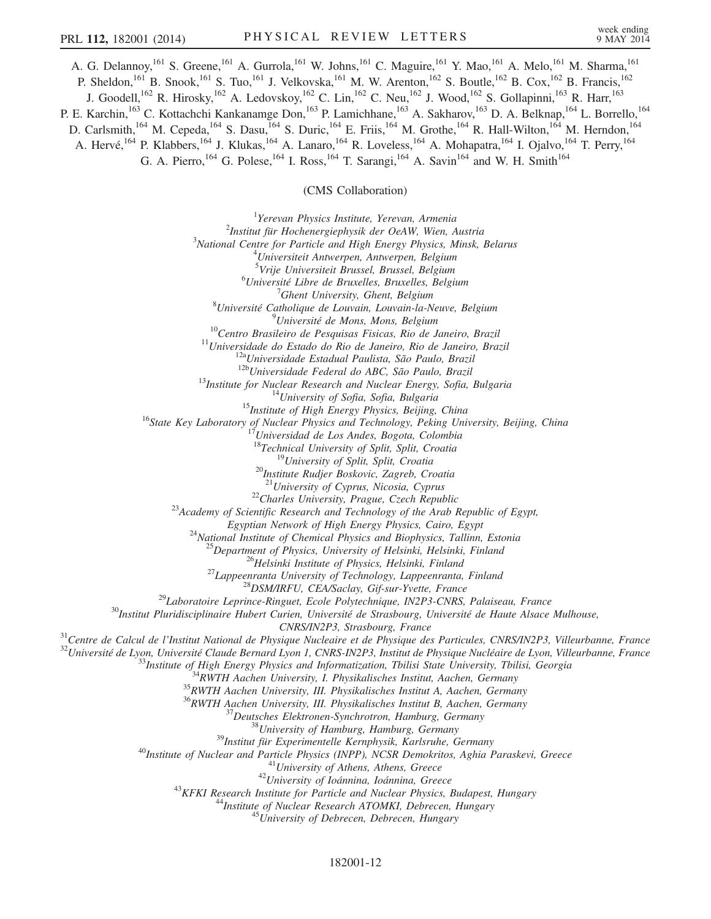A. G. Delannoy,<sup>161</sup> S. Greene,<sup>161</sup> A. Gurrola,<sup>161</sup> W. Johns,<sup>161</sup> C. Maguire,<sup>161</sup> Y. Mao,<sup>161</sup> A. Melo,<sup>161</sup> M. Sharma,<sup>161</sup> P. Sheldon,<sup>161</sup> B. Snook,<sup>161</sup> S. Tuo,<sup>161</sup> J. Velkovska,<sup>161</sup> M. W. Arenton,<sup>162</sup> S. Boutle,<sup>162</sup> B. Cox,<sup>162</sup> B. Francis,<sup>162</sup> J. Goodell,<sup>162</sup> R. Hirosky,<sup>162</sup> A. Ledovskoy,<sup>162</sup> C. Lin,<sup>162</sup> C. Neu,<sup>162</sup> J. Wood,<sup>162</sup> S. Gollapinni,<sup>163</sup> R. Harr,<sup>163</sup> P. E. Karchin,<sup>163</sup> C. Kottachchi Kankanamge Don,<sup>163</sup> P. Lamichhane,<sup>163</sup> A. Sakharov,<sup>163</sup> D. A. Belknap,<sup>164</sup> L. Borrello,<sup>164</sup> D. Carlsmith,<sup>164</sup> M. Cepeda,<sup>164</sup> S. Dasu,<sup>164</sup> S. Duric,<sup>164</sup> E. Friis,<sup>164</sup> M. Grothe,<sup>164</sup> R. Hall-Wilton,<sup>164</sup> M. Herndon,<sup>164</sup> A. Hervé,<sup>164</sup> P. Klabbers,<sup>164</sup> J. Klukas,<sup>164</sup> A. Lanaro,<sup>164</sup> R. Loveless,<sup>164</sup> A. Mohapatra,<sup>164</sup> I. Ojalvo,<sup>164</sup> T. Perry,<sup>164</sup> G. A. Pierro,<sup>164</sup> G. Polese,<sup>164</sup> I. Ross,<sup>164</sup> T. Sarangi,<sup>164</sup> A. Savin<sup>164</sup> and W. H. Smith<sup>164</sup>

(CMS Collaboration)

<sup>1</sup>Yerevan Physics Institute, Yerevan, Armenia<sup>2</sup>Institute *Servan Physics Institute*, *New Ocal W. Wign A*  $\frac{1}{2}$ Institut für Hochenergiephysik der OeAW, Wien, Austria  $\frac{3}{2}$ National Cantre for Particle and High Francy Physics, Minsk National Centre for Particle and High Energy Physics, Minsk, Belarus<br><sup>4</sup>Llniversiteit Artuarnen, Antuarnen, Belajum  $^{4}$ Universiteit Antwerpen, Antwerpen, Belgium <sup>5</sup>Vrije Universiteit Brussel, Brussel, Belgium<br><sup>6</sup>Université Libre de Pruxelles, Pruxelles, Belgium <sup>6</sup>Université Libre de Bruxelles, Bruxelles, Belgium<br><sup>7</sup>Ghent University, Ghent, Belgium  $'$ Ghent University, Ghent, Belgium<br><sup>8</sup>Université Catholique de Louvain, Louvain la N Université Catholique de Louvain, Louvain-la-Neuve, Belgium<br><sup>9</sup>Université de Mons, Mons, Belgium <sup>9</sup>Université de Mons, Mons, Belgium<br><sup>10</sup>Centro Brasileiro de Pesquisas Fisicas, Rio de Janeiro, Brazil<br><sup>11</sup>Universidade do Estado do Rio de Janeiro, Rio de Janeiro, Brazil<br><sup>12</sup>Universidade Estadual Paulista, São Paulo, B <sup>19</sup>University of Split, Split, Croatia <sup>20</sup>Institute Rudjer Boskovic, Zagreb, Croatia <sup>21</sup>University of Cyprus, Nicosia, Cyprus <sup>22</sup>Charles University, Prague, Czech Republic<br><sup>23</sup>Academy of Scientific Research and Technology of the Arab Republic of Egypt,<br>Egyptian Network of High Energy Physics, Cairo, Egypt <sup>24</sup>National Institute of Chemical Physics and Biophysics, Tallinn, Estonia<br><sup>25</sup>Department of Physics, University of Helsinki, Helsinki, Finland<br><sup>26</sup>Helsinki Institute of Physics, Helsinki, Finland<br><sup>26</sup>Helsinki Institute <sup>31</sup>Centre de Calcul de l'Institut National de Physique Nucleaire et de Physique des Particules, CNRS/IN2P3, Villeurbanne, France<br><sup>32</sup>Université de Lyon, Université Claude Bernard Lyon 1, CNRS-IN2P3, Institut de Physique <sup>37</sup>Deutsches Elektronen-Synchrotron, Hamburg, Germany<br><sup>38</sup>University of Hamburg, Hamburg, Germany<br><sup>39</sup>Institut für Experimentelle Kernphysik, Karlsruhe, Germany<br><sup>40</sup>Institute of Nuclear and Particle Physics (INPP), NCSR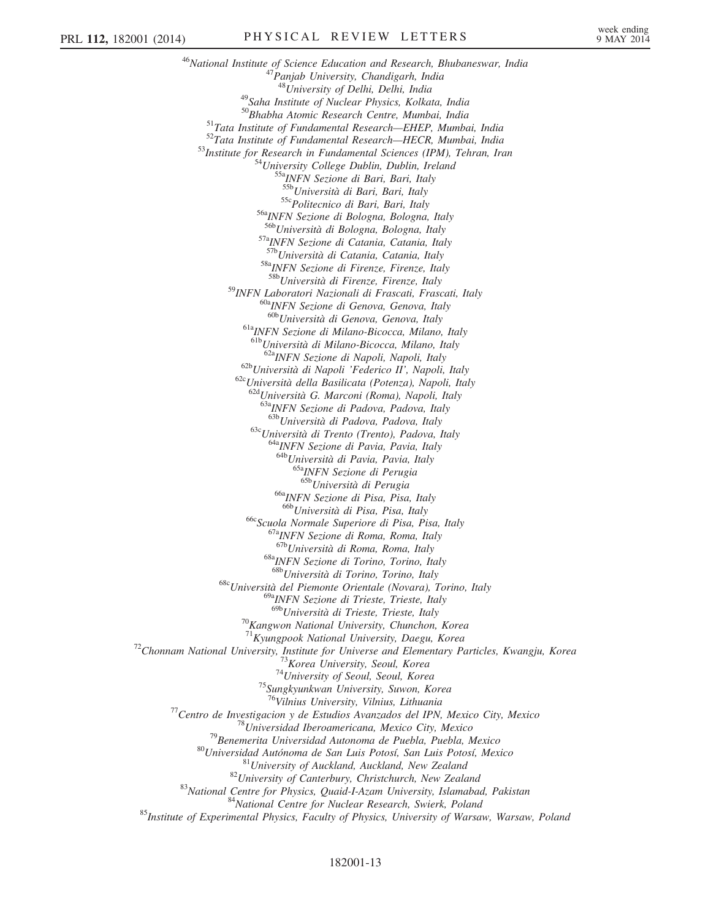<sup>46</sup>National Institute of Science Education and Research, Bhubaneswar, India<br><sup>47</sup>Panjab University, Chandigarh, India<br><sup>48</sup>University of Delhi, Delhi, India <sup>49</sup>Saha Institute of Nuclear Physics, Kolkata, India  $^{50}$ Bhabha Atomic Research Centre, Mumbai, India <sup>51</sup>Tata Institute of Fundamental Research—EHEP, Mumbai, India<br><sup>52</sup>Tata Institute of Fundamental Research—HECR, Mumbai, India<br><sup>53</sup>Institute for Research in Fundamental Sciences (IPM), Tehran, Iran<br><sup>54</sup>University College D <sup>55c</sup>Politecnico di Bari, Bari, Italy<br><sup>56a</sup>INFN Sezione di Bologna, Bologna, Italy<br><sup>56b</sup>Università di Bologna, Bologna, Italy <sup>57a</sup>INFN Sezione di Catania, Catania, Italy <sup>57b</sup>Università di Catania, Catania, Italy 58aINFN Sezione di Firenze, Firenze, Italy 58bUniversità di Firenze, Firenze, Italy <sup>59</sup>INFN Laboratori Nazionali di Frascati, Frascati, Italy<br><sup>60a</sup>INFN Sezione di Genova, Genova, Italy<br><sup>60b</sup>Università di Genova, Genova, Italy <sup>61a</sup>INFN Sezione di Milano-Bicocca, Milano, Italy <sup>61b</sup>Università di Milano-Bicocca, Milano, Italy<br><sup>62a</sup>INFN Sezione di Napoli, Napoli, Italy  $62b$ Università di Napoli 'Federico II', Napoli, Italy 62cUniversità della Basilicata (Potenza), Napoli, Italy <sup>62d</sup>Università G. Marconi (Roma), Napoli, Italy <sup>63a</sup>INFN Sezione di Padova, Padova, Italy<br><sup>63b</sup>Università di Padova, Padova, Italy 63cUniversità di Trento (Trento), Padova, Italy <sup>64a</sup>INFN Sezione di Pavia, Pavia, Italy 64bUniversità di Pavia, Pavia, Italy <sup>65a</sup>INFN Sezione di Perugia<br><sup>65b</sup>Università di Perugia <sup>66a</sup>INFN Sezione di Pisa, Pisa, Italy<br><sup>66b</sup>Università di Pisa, Pisa, Italy <sup>66c</sup>Scuola Normale Superiore di Pisa, Pisa, Italy<br><sup>67a</sup>INFN Sezione di Roma, Roma, Italy<br><sup>67b</sup>Università di Roma, Roma, Italy <sup>68a</sup>INFN Sezione di Torino, Torino, Italy<br><sup>68b</sup>Università di Torino, Torino, Italy 68cUniversità del Piemonte Orientale (Novara), Torino, Italy <sup>69a</sup>INFN Sezione di Trieste, Trieste, Italy<br><sup>69b</sup>Università di Trieste, Trieste, Italy <sup>70</sup>Kangwon National University, Chunchon, Korea<br><sup>71</sup>Kvungpook National University, Daegu, Korea <sup>72</sup>Chonnam National University, Institute for Universe and Elementary Particles, Kwangju, Korea<br><sup>73</sup>Korea University, Seoul, Korea<br><sup>74</sup>University of Seoul, Seoul, Korea<br><sup>75</sup>Sungkyunkwan University, Suwon, Korea <sup>76</sup>Vilnius University, Vilnius, Lithuania<br><sup>76</sup>Centro de Investigacion y de Estudios Avanzados del IPN, Mexico City, Mexico<br><sup>78</sup>Universidad Iberoamericana, Mexico City, Mexico<br><sup>79</sup>Benemerita Universidad Autonoma de Puebla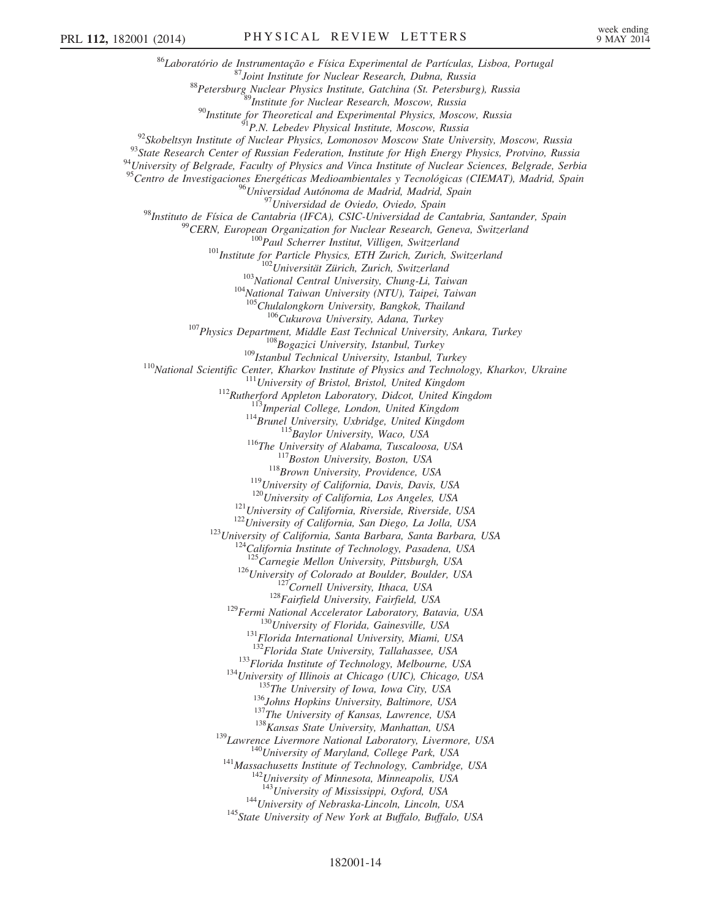<sup>86</sup>Laboratório de Instrumentação e Física Experimental de Partículas, Lisboa, Portugal<br><sup>87</sup>Joint Institute for Nuclear Research, Dubna, Russia<br><sup>88</sup>Petersburg Nuclear Physics Institute, Gatchina (St. Petersburg), Russia<br><sup></sup> <sup>95</sup>Centro de Investigaciones Energéticas Medioambientales y Tecnológicas (CIEMAT), Madrid, Spain<br><sup>96</sup>Universidad Autónoma de Madrid, Madrid, Spain <sup>97</sup>Universidad de Oviedo, Oviedo, Spain<br><sup>98</sup>Instituto de Física de Cantabria (IFCA), CSIC-Universidad de Cantabria, Santander, Spain<br><sup>99</sup>CERN, European Organization for Nuclear Research, Geneva, Switzerland<br><sup>100</sup>Paul Sch <sup>105</sup>Chulalongkorn University, Bangkok, Thailand<br><sup>105</sup>Chulalongkorn University, Aana, Turkey<br><sup>107</sup>Physics Department, Middle East Technical University, Ankara, Turkey<br><sup>109</sup>Istanbul Technical University, Istanbul, Turkey<br><sup></sup> <sup>125</sup> Carnegie Mellon University, Pittsburgh, USA<br><sup>126</sup> University of Colorado at Boulder, Boulder, USA<br><sup>127</sup> Cornell University, Ithaca, USA<br><sup>128</sup> Fairfield University, Fairfield, USA<br><sup>129</sup> Fermi National Accelerator Lab <sup>133</sup>Florida Institute of Technology, Melbourne, USA<br><sup>134</sup>University of Illinois at Chicago (UIC), Chicago, USA<br><sup>135</sup>The University of Iowa, Iowa City, USA<br><sup>136</sup>Johns Hopkins University, Baltimore, USA<br><sup>137</sup>The University  $144$ University of Nebraska-Lincoln, Lincoln, USA  $145$ State University of New York at Buffalo, Buffalo, USA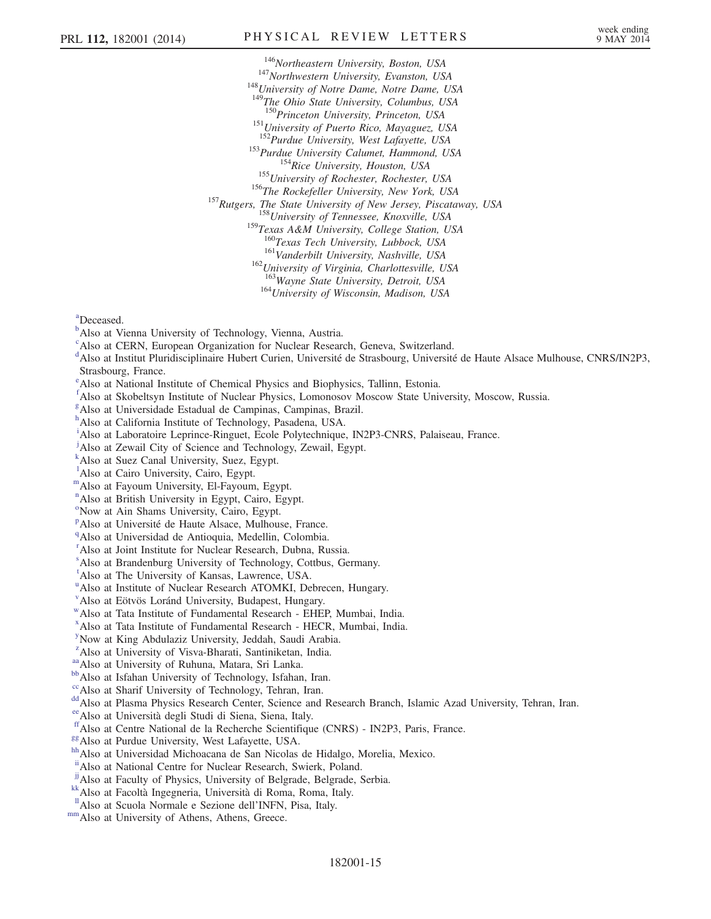<sup>146</sup>Northeastern University, Boston, USA<br><sup>147</sup>Northwestern University, Evanston, USA<br><sup>148</sup>University of Notre Dame, Notre Dame, USA <sup>149</sup>The Ohio State University, Columbus, USA<br><sup>150</sup>Princeton University, Princeton, USA <sup>151</sup>University of Puerto Rico, Mayaguez, USA  $^{151}$ Purdue University, West Lafayette, USA <sup>153</sup>Purdue University Calumet, Hammond, USA<br><sup>154</sup>Rice University, Houston, USA<br><sup>155</sup>University of Rochester, Rochester, USA<br><sup>156</sup>The Rockefeller University, New York, USA<br><sup>157</sup>Rutgers, The State University of New Jersey, <sup>159</sup>Texas A&M University, College Station, USA<br><sup>160</sup>Texas Tech University, Lubbock, USA <sup>161</sup>Vanderbilt University, Nashville, USA  $^{162}$ University of Virginia, Charlottesville, USA  $^{163}$ Wayne State University, Detroit, USA  $164$ University of Wisconsin, Madison, USA

<sup>a</sup>Deceased.

- <sup>b</sup>Also at Vienna University of Technology, Vienna, Austria.
- <sup>c</sup>Also at CERN, European Organization for Nuclear Research, Geneva, Switzerland.
- <sup>d</sup>Also at Institut Pluridisciplinaire Hubert Curien, Université de Strasbourg, Université de Haute Alsace Mulhouse, CNRS/IN2P3, Strasbourg, France.
- e Also at National Institute of Chemical Physics and Biophysics, Tallinn, Estonia.
- f Also at Skobeltsyn Institute of Nuclear Physics, Lomonosov Moscow State University, Moscow, Russia.
- <sup>g</sup>Also at Universidade Estadual de Campinas, Campinas, Brazil.
- h Also at California Institute of Technology, Pasadena, USA.
- <sup>i</sup>Also at Laboratoire Leprince-Ringuet, Ecole Polytechnique, IN2P3-CNRS, Palaiseau, France.
- j Also at Zewail City of Science and Technology, Zewail, Egypt.
- k Also at Suez Canal University, Suez, Egypt.
- <sup>1</sup>Also at Cairo University, Cairo, Egypt.
- mAlso at Fayoum University, El-Fayoum, Egypt.
- n Also at British University in Egypt, Cairo, Egypt.
- o Now at Ain Shams University, Cairo, Egypt.
- <sup>p</sup>Also at Université de Haute Alsace, Mulhouse, France.
- <sup>q</sup>Also at Universidad de Antioquia, Medellin, Colombia.
- <sup>r</sup> Also at Joint Institute for Nuclear Research, Dubna, Russia.
- s Also at Brandenburg University of Technology, Cottbus, Germany.
- t Also at The University of Kansas, Lawrence, USA.
- <sup>u</sup> Also at Institute of Nuclear Research ATOMKI, Debrecen, Hungary.
- v Also at Eötvös Loránd University, Budapest, Hungary.
- wAlso at Tata Institute of Fundamental Research EHEP, Mumbai, India.
- x Also at Tata Institute of Fundamental Research HECR, Mumbai, India.
- y Now at King Abdulaziz University, Jeddah, Saudi Arabia.
- <sup>z</sup>Also at University of Visva-Bharati, Santiniketan, India.
- 
- <sup>aa</sup>Also at University of Ruhuna, Matara, Sri Lanka.<br><sup>bb</sup>Also at Isfahan University of Technology, Isfahan, Iran.<br><sup>cc</sup>Also at Sharif University of Technology, Tehran, Iran.
- 
- dd Also at Plasma Physics Research Center, Science and Research Branch, Islamic Azad University, Tehran, Iran.
- 
- ee Also at Università degli Studi di Siena, Siena, Italy.<br>
<sup>ff</sup> Also at Centre National de la Recherche Scientifique (CNRS) IN2P3, Paris, France.
- 
- <sup>gg</sup>Also at Purdue University, West Lafayette, USA. hh<br>hhAlso at Universidad Michoacana de San Nicolas de Hidalgo, Morelia, Mexico.
- iiAlso at National Centre for Nuclear Research, Swierk, Poland.
- <sup>jj</sup>Also at Faculty of Physics, University of Belgrade, Belgrade, Serbia. <sup>kk</sup>Also at Facoltà Ingegneria, Università di Roma, Roma, Italy.
- 
- <sup>ll</sup>Also at Scuola Normale e Sezione dell'INFN, Pisa, Italy. mm<br><sup>mm</sup>Also at University of Athens, Athens, Greece.
-